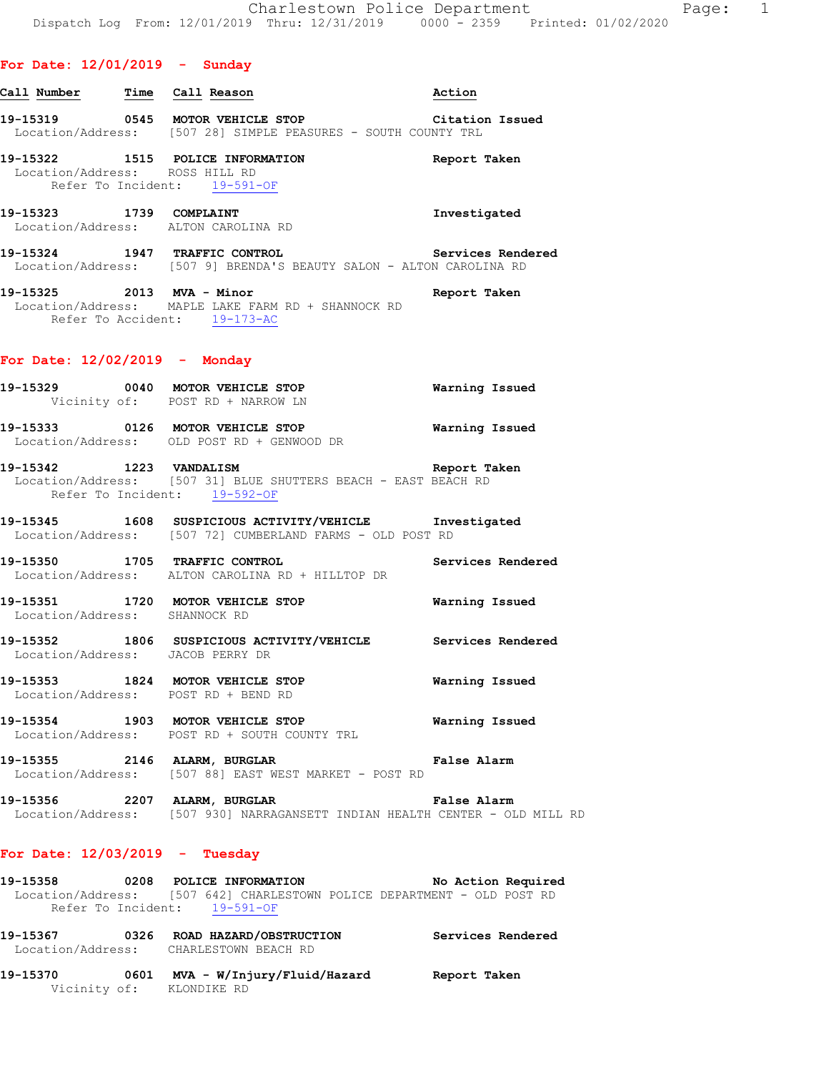| Call Number | Time              | Call Reason           | Action                             |
|-------------|-------------------|-----------------------|------------------------------------|
| 10 15910    | $\bigcap_{i=1}^n$ | MOMOD, TMIITATE, GHOD | $\sim$ $\sim$ $\sim$ $\sim$ $\sim$ |

**19-15319 0545 MOTOR VEHICLE STOP Citation Issued**  Location/Address: [507 28] SIMPLE PEASURES - SOUTH COUNTY TRL

**19-15322 1515 POLICE INFORMATION Report Taken**  Location/Address: ROSS HILL RD Refer To Incident: 19-591-OF

**19-15323 1739 COMPLAINT Investigated**  Location/Address: ALTON CAROLINA RD

**19-15324 1947 TRAFFIC CONTROL Services Rendered**  Location/Address: [507 9] BRENDA'S BEAUTY SALON - ALTON CAROLINA RD

**19-15325 2013 MVA - Minor Report Taken**  Location/Address: MAPLE LAKE FARM RD + SHANNOCK RD Refer To Accident: 19-173-AC

#### **For Date: 12/02/2019 - Monday**

| 19-15329                      | 0040 MOTOR VEHICLE STOP<br>Vicinity of: POST RD + NARROW LN | Warning Issued |  |
|-------------------------------|-------------------------------------------------------------|----------------|--|
| 19–15333<br>Location/Address: | 0126 MOTOR VEHICLE STOP<br>OLD POST RD + GENWOOD DR         | Warning Issued |  |

**19-15342 1223 VANDALISM Report Taken**  Location/Address: [507 31] BLUE SHUTTERS BEACH - EAST BEACH RD Refer To Incident: 19-592-OF

**19-15345 1608 SUSPICIOUS ACTIVITY/VEHICLE Investigated**  Location/Address: [507 72] CUMBERLAND FARMS - OLD POST RD

**19-15350 1705 TRAFFIC CONTROL Services Rendered**  Location/Address: ALTON CAROLINA RD + HILLTOP DR

**19-15351 1720 MOTOR VEHICLE STOP Warning Issued**  Location/Address: SHANNOCK RD

**19-15352 1806 SUSPICIOUS ACTIVITY/VEHICLE Services Rendered**  Location/Address: JACOB PERRY DR

**19-15353 1824 MOTOR VEHICLE STOP Warning Issued**  Location/Address: POST RD + BEND RD

**19-15354 1903 MOTOR VEHICLE STOP Warning Issued**  Location/Address: POST RD + SOUTH COUNTY TRL

**19-15355 2146 ALARM, BURGLAR False Alarm**  Location/Address: [507 88] EAST WEST MARKET - POST RD

**19-15356 2207 ALARM, BURGLAR False Alarm**  Location/Address: [507 930] NARRAGANSETT INDIAN HEALTH CENTER - OLD MILL RD

#### **For Date: 12/03/2019 - Tuesday**

**19-15358 0208 POLICE INFORMATION No Action Required**  Location/Address: [507 642] CHARLESTOWN POLICE DEPARTMENT - OLD POST RD Refer To Incident: 19-591-OF

**19-15367 0326 ROAD HAZARD/OBSTRUCTION Services Rendered**  Location/Address: CHARLESTOWN BEACH RD

**19-15370 0601 MVA - W/Injury/Fluid/Hazard Report Taken**  Vicinity of: KLONDIKE RD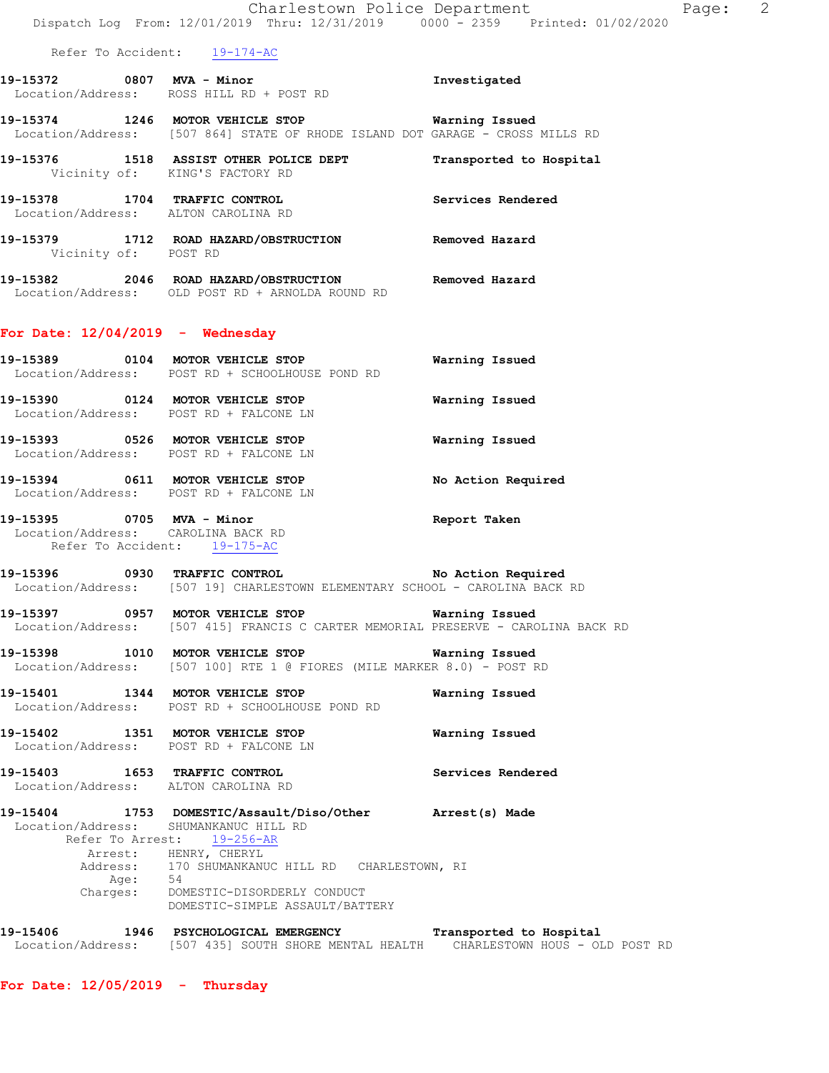| Page: 2 |
|---------|

Location/Address: [507 435] SOUTH SHORE MENTAL HEALTH CHARLESTOWN HOUS - OLD POST RD

**For Date: 12/05/2019 - Thursday**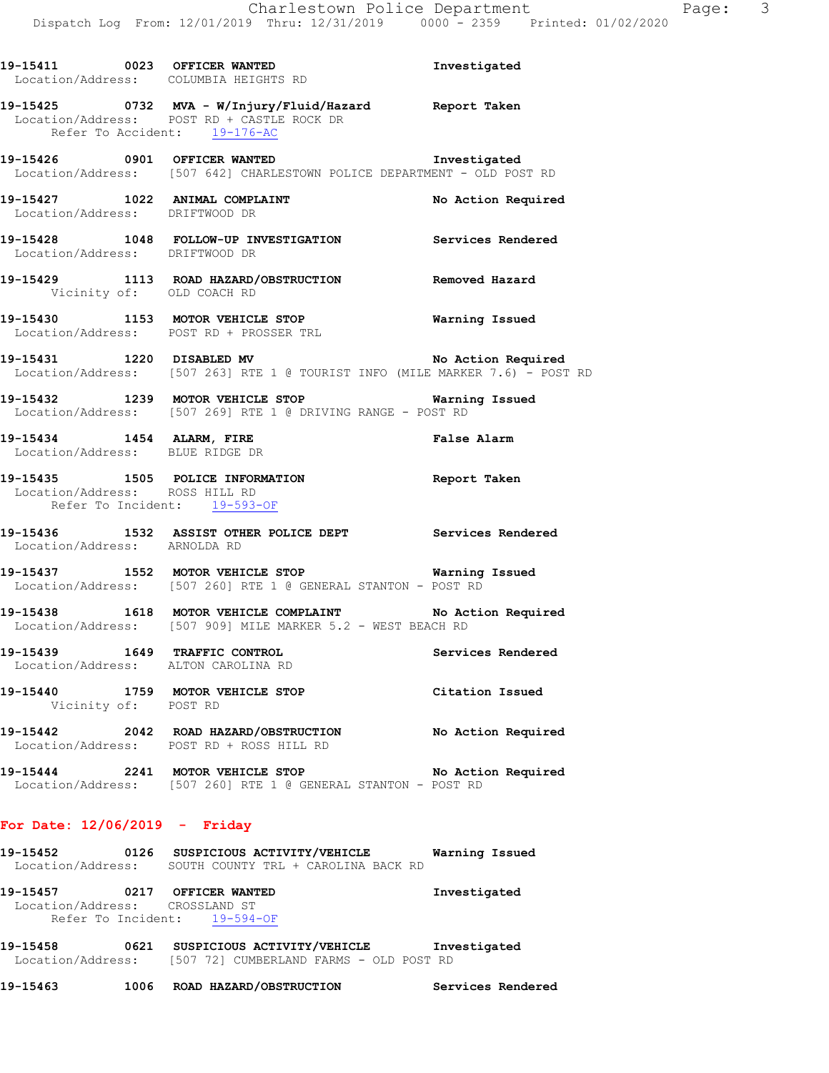|                                 | 19-15411 0023 OFFICER WANTED<br>Location/Address: COLUMBIA HEIGHTS RD                                                                | Investigated       |
|---------------------------------|--------------------------------------------------------------------------------------------------------------------------------------|--------------------|
|                                 | 19-15425 0732 MVA - W/Injury/Fluid/Hazard Report Taken<br>Location/Address: POST RD + CASTLE ROCK DR<br>Refer To Accident: 19-176-AC |                    |
|                                 | 19-15426 0901 OFFICER WANTED<br>Location/Address: [507 642] CHARLESTOWN POLICE DEPARTMENT - OLD POST RD                              | Investigated       |
| Location/Address: DRIFTWOOD DR  | 19-15427 1022 ANIMAL COMPLAINT                                                                                                       | No Action Required |
| Location/Address: DRIFTWOOD DR  | 19-15428 1048 FOLLOW-UP INVESTIGATION Services Rendered                                                                              |                    |
|                                 | 19-15429 1113 ROAD HAZARD/OBSTRUCTION Removed Hazard<br>Vicinity of: OLD COACH RD                                                    |                    |
|                                 | 19-15430 1153 MOTOR VEHICLE STOP Warning Issued<br>Location/Address: POST RD + PROSSER TRL                                           |                    |
|                                 | 19-15431 1220 DISABLED MV<br>Location/Address: [507 263] RTE 1 @ TOURIST INFO (MILE MARKER 7.6) - POST RD                            | No Action Required |
|                                 | 19-15432 1239 MOTOR VEHICLE STOP                                                                                                     | Warning Issued     |
|                                 | 19-15434 1454 ALARM, FIRE Research False Alarm Location/Address: BLUE RIDGE DR                                                       |                    |
|                                 | 19-15435 1505 POLICE INFORMATION Report Taken<br>Location/Address: ROSS HILL RD<br>Refer To Incident: 19-593-OF                      |                    |
| Location/Address: ARNOLDA RD    | 19-15436 1532 ASSIST OTHER POLICE DEPT Services Rendered                                                                             |                    |
|                                 | 19-15437 1552 MOTOR VEHICLE STOP 6 Warning Issued<br>Location/Address: [507 260] RTE 1 @ GENERAL STANTON - POST RD                   |                    |
|                                 | 19-15438 1618 MOTOR VEHICLE COMPLAINT No Action Required<br>Location/Address: [507 909] MILE MARKER 5.2 - WEST BEACH RD              |                    |
|                                 | 19-15439 1649 TRAFFIC CONTROL<br>Location/Address: ALTON CAROLINA RD                                                                 | Services Rendered  |
|                                 | 19-15440 1759 MOTOR VEHICLE STOP<br>Vicinity of: POST RD                                                                             | Citation Issued    |
|                                 | 19-15442 2042 ROAD HAZARD/OBSTRUCTION No Action Required<br>Location/Address: POST RD + ROSS HILL RD                                 |                    |
|                                 | 19-15444 2241 MOTOR VEHICLE STOP<br>Location/Address: [507 260] RTE 1 @ GENERAL STANTON - POST RD                                    | No Action Required |
| For Date: $12/06/2019$ - Friday |                                                                                                                                      |                    |
|                                 | 19-15452 0126 SUSPICIOUS ACTIVITY/VEHICLE Warning Issued<br>Location/Address: SOUTH COUNTY TRL + CAROLINA BACK RD                    |                    |
|                                 | 19-15457 0217 OFFICER WANTED                                                                                                         | Investigated       |

**19-15458 0621 SUSPICIOUS ACTIVITY/VEHICLE Investigated**  Location/Address: [507 72] CUMBERLAND FARMS - OLD POST RD

Location/Address: CROSSLAND ST

Refer To Incident: 19-594-OF

**19-15463 1006 ROAD HAZARD/OBSTRUCTION Services Rendered**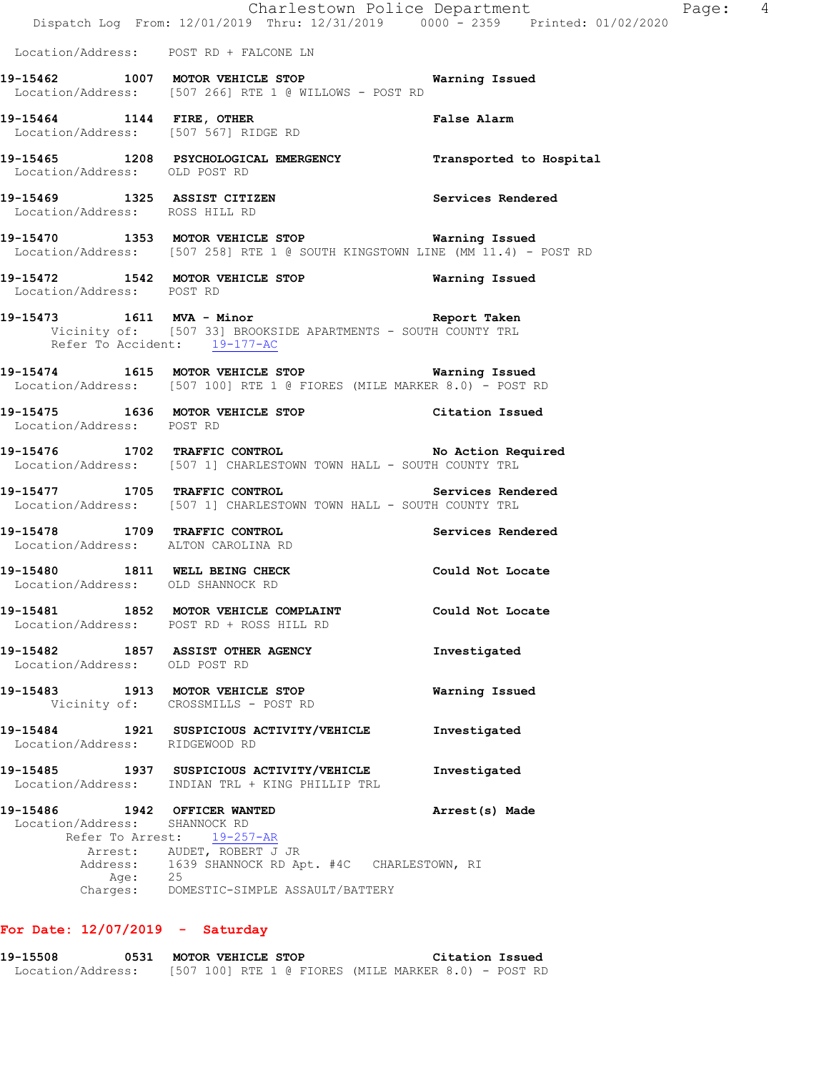|                                                               |         | Dispatch Log From: 12/01/2019 Thru: 12/31/2019 0000 <sup>-</sup> 2359 Printed: 01/02/2020                                           | Charlestown Police Department | Page: 4 |  |
|---------------------------------------------------------------|---------|-------------------------------------------------------------------------------------------------------------------------------------|-------------------------------|---------|--|
|                                                               |         | Location/Address: POST RD + FALCONE LN                                                                                              |                               |         |  |
|                                                               |         | 19-15462 1007 MOTOR VEHICLE STOP 6 Warning Issued<br>Location/Address: [507 266] RTE 1 @ WILLOWS - POST RD                          |                               |         |  |
|                                                               |         | 19-15464 1144 FIRE, OTHER 19-15464 False Alarm<br>Location/Address: [507 567] RIDGE RD                                              |                               |         |  |
| Location/Address: OLD POST RD                                 |         | 19-15465 1208 PSYCHOLOGICAL EMERGENCY Transported to Hospital                                                                       |                               |         |  |
| Location/Address: ROSS HILL RD                                |         | 19-15469 1325 ASSIST CITIZEN 5ervices Rendered                                                                                      |                               |         |  |
|                                                               |         | 19-15470 1353 MOTOR VEHICLE STOP 6 Warning Issued<br>Location/Address: [507 258] RTE 1 @ SOUTH KINGSTOWN LINE (MM 11.4) - POST RD   |                               |         |  |
| Location/Address: POST RD                                     |         | 19-15472 1542 MOTOR VEHICLE STOP 6 Warning Issued                                                                                   |                               |         |  |
|                                                               |         | 19-15473 1611 MVA - Minor 19-15473<br>Vicinity of: [507 33] BROOKSIDE APARTMENTS - SOUTH COUNTY TRL<br>Refer To Accident: 19-177-AC |                               |         |  |
|                                                               |         | 19-15474 1615 MOTOR VEHICLE STOP Warning Issued<br>Location/Address: [507 100] RTE 1 @ FIORES (MILE MARKER 8.0) - POST RD           |                               |         |  |
| Location/Address: POST RD                                     |         | 19-15475 1636 MOTOR VEHICLE STOP Citation Issued                                                                                    |                               |         |  |
|                                                               |         | 19-15476 1702 TRAFFIC CONTROL No Action Required<br>Location/Address: [507 1] CHARLESTOWN TOWN HALL - SOUTH COUNTY TRL              |                               |         |  |
|                                                               |         | 19-15477 1705 TRAFFIC CONTROL 19-15477 2001<br>Location/Address: [507 1] CHARLESTOWN TOWN HALL - SOUTH COUNTY TRL                   |                               |         |  |
|                                                               |         | 19-15478 1709 TRAFFIC CONTROL 19-15478 Services Rendered<br>Location/Address: ALTON CAROLINA RD                                     |                               |         |  |
| Location/Address: OLD SHANNOCK RD                             |         | 19-15480 1811 WELL BEING CHECK Could Not Locate                                                                                     |                               |         |  |
|                                                               |         | 19-15481 1852 MOTOR VEHICLE COMPLAINT<br>Location/Address: POST RD + ROSS HILL RD                                                   | Could Not Locate              |         |  |
| Location/Address: OLD POST RD                                 |         | 19-15482 1857 ASSIST OTHER AGENCY                                                                                                   | Investigated                  |         |  |
|                                                               |         | 19-15483 1913 MOTOR VEHICLE STOP<br>Vicinity of: CROSSMILLS - POST RD                                                               | Warning Issued                |         |  |
| Location/Address: RIDGEWOOD RD                                |         | 19-15484 1921 SUSPICIOUS ACTIVITY/VEHICLE                                                                                           | Investigated                  |         |  |
|                                                               |         | 19-15485 1937 SUSPICIOUS ACTIVITY/VEHICLE<br>Location/Address: INDIAN TRL + KING PHILLIP TRL                                        | Investigated                  |         |  |
| 19-15486 1942 OFFICER WANTED<br>Location/Address: SHANNOCK RD |         | Refer To Arrest: 19-257-AR<br>Arrest: AUDET, ROBERT J JR<br>Address: 1639 SHANNOCK RD Apt. #4C CHARLESTOWN, RI                      | Arrest(s) Made                |         |  |
|                                                               | Age: 25 | Charges: DOMESTIC-SIMPLE ASSAULT/BATTERY                                                                                            |                               |         |  |
|                                                               |         |                                                                                                                                     |                               |         |  |

# **For Date: 12/07/2019 - Saturday**

**19-15508 0531 MOTOR VEHICLE STOP Citation Issued**  Location/Address: [507 100] RTE 1 @ FIORES (MILE MARKER 8.0) - POST RD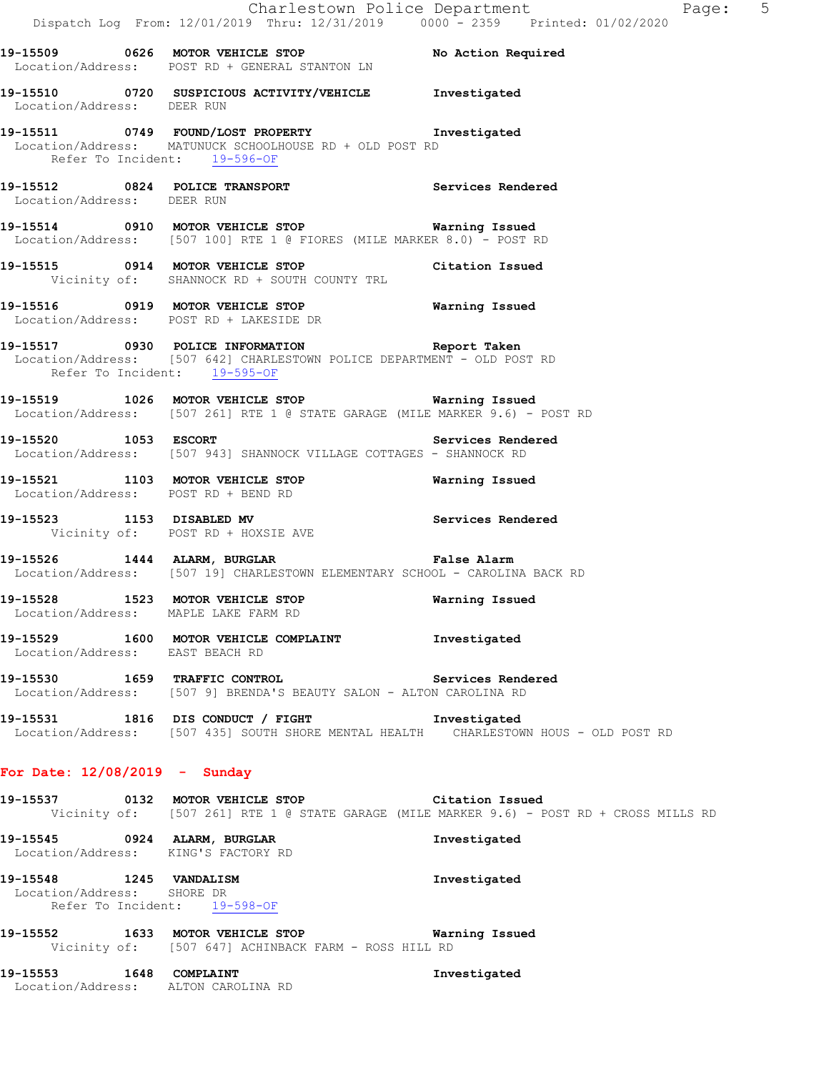|                                                                     | Dispatch Log From: 12/01/2019 Thru: 12/31/2019 0000 <sup>-</sup> 2359 Printed: 01/02/2020                                                          | Charlestown Police Department | Page: 5 |
|---------------------------------------------------------------------|----------------------------------------------------------------------------------------------------------------------------------------------------|-------------------------------|---------|
|                                                                     | 19-15509 0626 MOTOR VEHICLE STOP No Action Required<br>Location/Address: POST RD + GENERAL STANTON LN                                              |                               |         |
| Location/Address: DEER RUN                                          | 19-15510 0720 SUSPICIOUS ACTIVITY/VEHICLE Investigated                                                                                             |                               |         |
| Refer To Incident: 19-596-OF                                        | 19-15511 0749 FOUND/LOST PROPERTY Threstigated<br>Location/Address: MATUNUCK SCHOOLHOUSE RD + OLD POST RD                                          |                               |         |
| Location/Address: DEER RUN                                          | 19-15512 0824 POLICE TRANSPORT Services Rendered                                                                                                   |                               |         |
|                                                                     | 19-15514 0910 MOTOR VEHICLE STOP <b>Warning Issued</b><br>Location/Address: [507 100] RTE 1 @ FIORES (MILE MARKER 8.0) - POST RD                   |                               |         |
|                                                                     | 19-15515 0914 MOTOR VEHICLE STOP Citation Issued<br>Vicinity of: SHANNOCK RD + SOUTH COUNTY TRL                                                    |                               |         |
|                                                                     | 19-15516 0919 MOTOR VEHICLE STOP <b>Warning Issued</b><br>Location/Address: POST RD + LAKESIDE DR                                                  |                               |         |
| Refer To Incident: 19-595-OF                                        | 19-15517 0930 POLICE INFORMATION <b>19-15517</b> Report Taken<br>Location/Address: [507 642] CHARLESTOWN POLICE DEPARTMENT - OLD POST RD           |                               |         |
|                                                                     | 19-15519 1026 MOTOR VEHICLE STOP 6 Warning Issued<br>Location/Address: [507 261] RTE 1 @ STATE GARAGE (MILE MARKER 9.6) - POST RD                  |                               |         |
|                                                                     | 19-15520 1053 ESCORT Services Rendered<br>Location/Address: [507 943] SHANNOCK VILLAGE COTTAGES - SHANNOCK RD                                      |                               |         |
| Location/Address: POST RD + BEND RD                                 | 19-15521 1103 MOTOR VEHICLE STOP                                                                                                                   | Warning Issued                |         |
|                                                                     | 19-15523 1153 DISABLED MV Services Rendered<br>Vicinity of: POST RD + HOXSIE AVE                                                                   |                               |         |
|                                                                     | 19-15526 1444 ALARM, BURGLAR 1997 1997 Palse Alarm<br>Location/Address: [507 19] CHARLESTOWN ELEMENTARY SCHOOL - CAROLINA BACK RD                  |                               |         |
| Location/Address: MAPLE LAKE FARM RD                                | 19-15528 1523 MOTOR VEHICLE STOP 19-15528                                                                                                          |                               |         |
| Location/Address: EAST BEACH RD                                     | 19-15529 1600 MOTOR VEHICLE COMPLAINT Threstigated                                                                                                 |                               |         |
|                                                                     | 19-15530 1659 TRAFFIC CONTROL 19-15530 Services Rendered<br>Location/Address: [507 9] BRENDA'S BEAUTY SALON - ALTON CAROLINA RD                    |                               |         |
|                                                                     | 19-15531 1816 DIS CONDUCT / FIGHT Threstigated<br>Location/Address: [507 435] SOUTH SHORE MENTAL HEALTH CHARLESTOWN HOUS - OLD POST RD             |                               |         |
| For Date: $12/08/2019$ - Sunday                                     |                                                                                                                                                    |                               |         |
|                                                                     | 19-15537 		 0132 MOTOR VEHICLE STOP 		 Citation Issued<br>Vicinity of: [507 261] RTE 1 @ STATE GARAGE (MILE MARKER 9.6) - POST RD + CROSS MILLS RD |                               |         |
| 19-15545 0924 ALARM, BURGLAR<br>Location/Address: KING'S FACTORY RD |                                                                                                                                                    | Investigated                  |         |
| 19-15548 1245 VANDALISM<br>Location/Address: SHORE DR               |                                                                                                                                                    | Investigated                  |         |

Refer To Incident: 19-598-OF

**19-15552 1633 MOTOR VEHICLE STOP Warning Issued**  Vicinity of: [507 647] ACHINBACK FARM - ROSS HILL RD

**19-15553 1648 COMPLAINT Investigated**  Location/Address: ALTON CAROLINA RD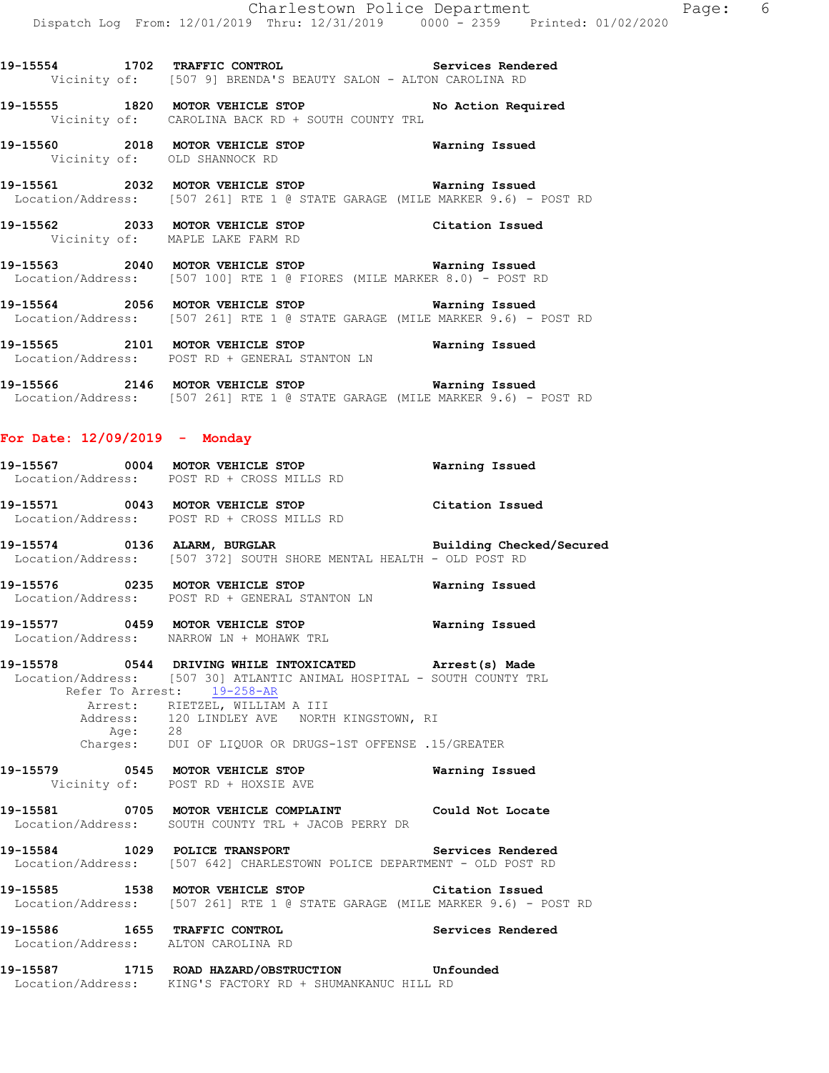**19-15554 1702 TRAFFIC CONTROL Services Rendered**  Vicinity of: [507 9] BRENDA'S BEAUTY SALON - ALTON CAROLINA RD

**19-15555 1820 MOTOR VEHICLE STOP No Action Required**  Vicinity of: CAROLINA BACK RD + SOUTH COUNTY TRL

**19-15560 2018 MOTOR VEHICLE STOP Warning Issued**  Vicinity of: OLD SHANNOCK RD

**19-15561 2032 MOTOR VEHICLE STOP Warning Issued**  Location/Address: [507 261] RTE 1 @ STATE GARAGE (MILE MARKER 9.6) - POST RD

**19-15562 2033 MOTOR VEHICLE STOP Citation Issued**  Vicinity of: MAPLE LAKE FARM RD

**19-15563 2040 MOTOR VEHICLE STOP Warning Issued**  Location/Address: [507 100] RTE 1 @ FIORES (MILE MARKER 8.0) - POST RD

**19-15564 2056 MOTOR VEHICLE STOP Warning Issued**  Location/Address: [507 261] RTE 1 @ STATE GARAGE (MILE MARKER 9.6) - POST RD

**19-15565 2101 MOTOR VEHICLE STOP Warning Issued**  Location/Address: POST RD + GENERAL STANTON LN

**19-15566 2146 MOTOR VEHICLE STOP Warning Issued**  Location/Address: [507 261] RTE 1 @ STATE GARAGE (MILE MARKER 9.6) - POST RD

# **For Date: 12/09/2019 - Monday**

**19-15567 0004 MOTOR VEHICLE STOP Warning Issued**  Location/Address: POST RD + CROSS MILLS RD **19-15571 0043 MOTOR VEHICLE STOP Citation Issued**  Location/Address: POST RD + CROSS MILLS RD

**19-15574 0136 ALARM, BURGLAR Building Checked/Secured**  Location/Address: [507 372] SOUTH SHORE MENTAL HEALTH - OLD POST RD

**19-15576 0235 MOTOR VEHICLE STOP Warning Issued**  Location/Address: POST RD + GENERAL STANTON LN

**19-15577 0459 MOTOR VEHICLE STOP Warning Issued**  Location/Address: NARROW LN + MOHAWK TRL

**19-15578 0544 DRIVING WHILE INTOXICATED Arrest(s) Made**  Location/Address: [507 30] ATLANTIC ANIMAL HOSPITAL - SOUTH COUNTY TRL Refer To Arrest: 19-258-AR Arrest: RIETZEL, WILLIAM A III Address: 120 LINDLEY AVE NORTH KINGSTOWN, RI Age: 28 Charges: DUI OF LIQUOR OR DRUGS-1ST OFFENSE .15/GREATER

**19-15579 0545 MOTOR VEHICLE STOP Warning Issued**  Vicinity of: POST RD + HOXSIE AVE

**19-15581 0705 MOTOR VEHICLE COMPLAINT Could Not Locate**  Location/Address: SOUTH COUNTY TRL + JACOB PERRY DR

**19-15584 1029 POLICE TRANSPORT Services Rendered**  Location/Address: [507 642] CHARLESTOWN POLICE DEPARTMENT - OLD POST RD

**19-15585 1538 MOTOR VEHICLE STOP Citation Issued**  Location/Address: [507 261] RTE 1 @ STATE GARAGE (MILE MARKER 9.6) - POST RD

**19-15586 1655 TRAFFIC CONTROL Services Rendered**  Location/Address: ALTON CAROLINA RD

**19-15587 1715 ROAD HAZARD/OBSTRUCTION Unfounded**  Location/Address: KING'S FACTORY RD + SHUMANKANUC HILL RD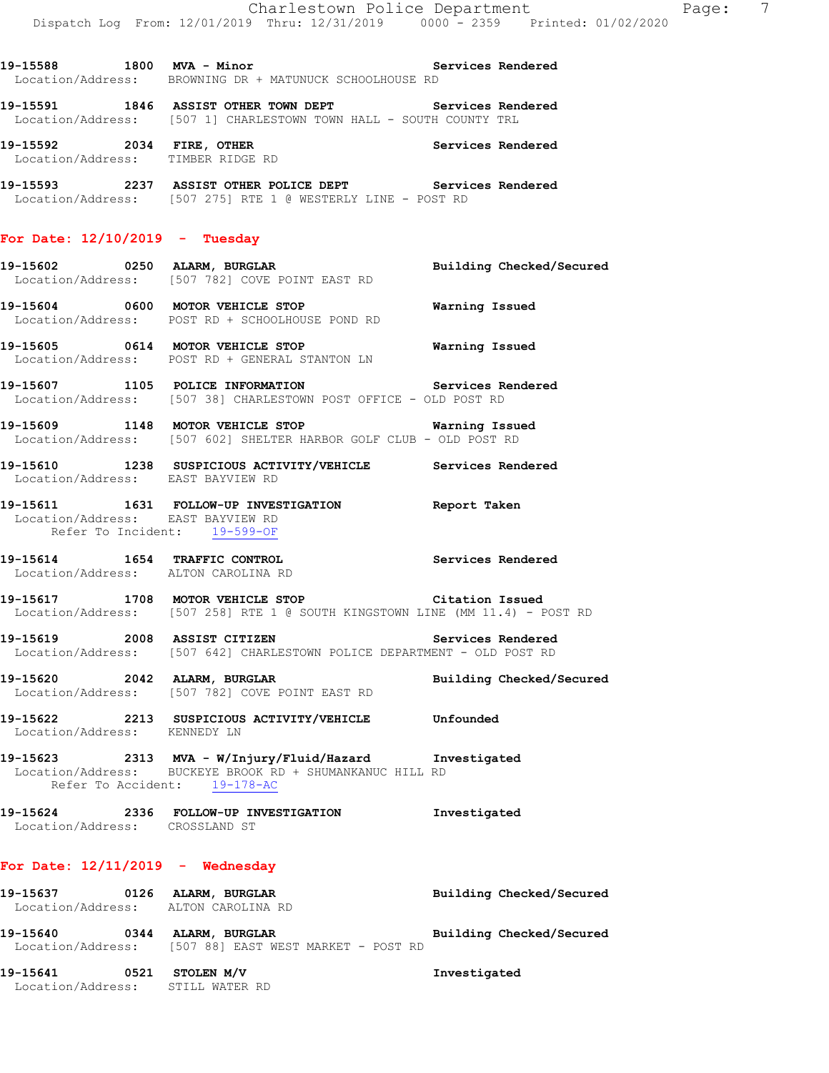19-15588 1800 MVA - Minor **Night Services Rendered** Location/Address: BROWNING DR + MATUNUCK SCHOOLHOUSE RD

**19-15591 1846 ASSIST OTHER TOWN DEPT Services Rendered**  Location/Address: [507 1] CHARLESTOWN TOWN HALL - SOUTH COUNTY TRL

**19-15592 2034 FIRE, OTHER Services Rendered**  Location/Address: TIMBER RIDGE RD

**19-15593 2237 ASSIST OTHER POLICE DEPT Services Rendered**  Location/Address: [507 275] RTE 1 @ WESTERLY LINE - POST RD

# **For Date: 12/10/2019 - Tuesday**

**19-15602 0250 ALARM, BURGLAR Building Checked/Secured**  Location/Address: [507 782] COVE POINT EAST RD

**19-15604 0600 MOTOR VEHICLE STOP Warning Issued**  Location/Address: POST RD + SCHOOLHOUSE POND RD

**19-15605 0614 MOTOR VEHICLE STOP Warning Issued**  Location/Address: POST RD + GENERAL STANTON LN

**19-15607 1105 POLICE INFORMATION Services Rendered**  Location/Address: [507 38] CHARLESTOWN POST OFFICE - OLD POST RD

**19-15609 1148 MOTOR VEHICLE STOP Warning Issued**  Location/Address: [507 602] SHELTER HARBOR GOLF CLUB - OLD POST RD

**19-15610 1238 SUSPICIOUS ACTIVITY/VEHICLE Services Rendered**  Location/Address: EAST BAYVIEW RD

#### **19-15611 1631 FOLLOW-UP INVESTIGATION Report Taken**  Location/Address: EAST BAYVIEW RD Refer To Incident: 19-599-OF

**19-15614 1654 TRAFFIC CONTROL Services Rendered**  Location/Address: ALTON CAROLINA RD

**19-15617 1708 MOTOR VEHICLE STOP Citation Issued**  Location/Address: [507 258] RTE 1 @ SOUTH KINGSTOWN LINE (MM 11.4) - POST RD

**19-15619 2008 ASSIST CITIZEN Services Rendered**  Location/Address: [507 642] CHARLESTOWN POLICE DEPARTMENT - OLD POST RD

**19-15620 2042 ALARM, BURGLAR Building Checked/Secured**  Location/Address: [507 782] COVE POINT EAST RD

**19-15622 2213 SUSPICIOUS ACTIVITY/VEHICLE Unfounded**  Location/Address: KENNEDY LN

**19-15623 2313 MVA - W/Injury/Fluid/Hazard Investigated**  Location/Address: BUCKEYE BROOK RD + SHUMANKANUC HILL RD Refer To Accident: 19-178-AC

**19-15624 2336 FOLLOW-UP INVESTIGATION Investigated**  Location/Address: CROSSLAND ST

### **For Date: 12/11/2019 - Wednesday**

**19-15637 0126 ALARM, BURGLAR Building Checked/Secured**  Location/Address: ALTON CAROLINA RD **19-15640 0344 ALARM, BURGLAR Building Checked/Secured**  Location/Address: [507 88] EAST WEST MARKET - POST RD

**19-15641 0521 STOLEN M/V Investigated**  Location/Address: STILL WATER RD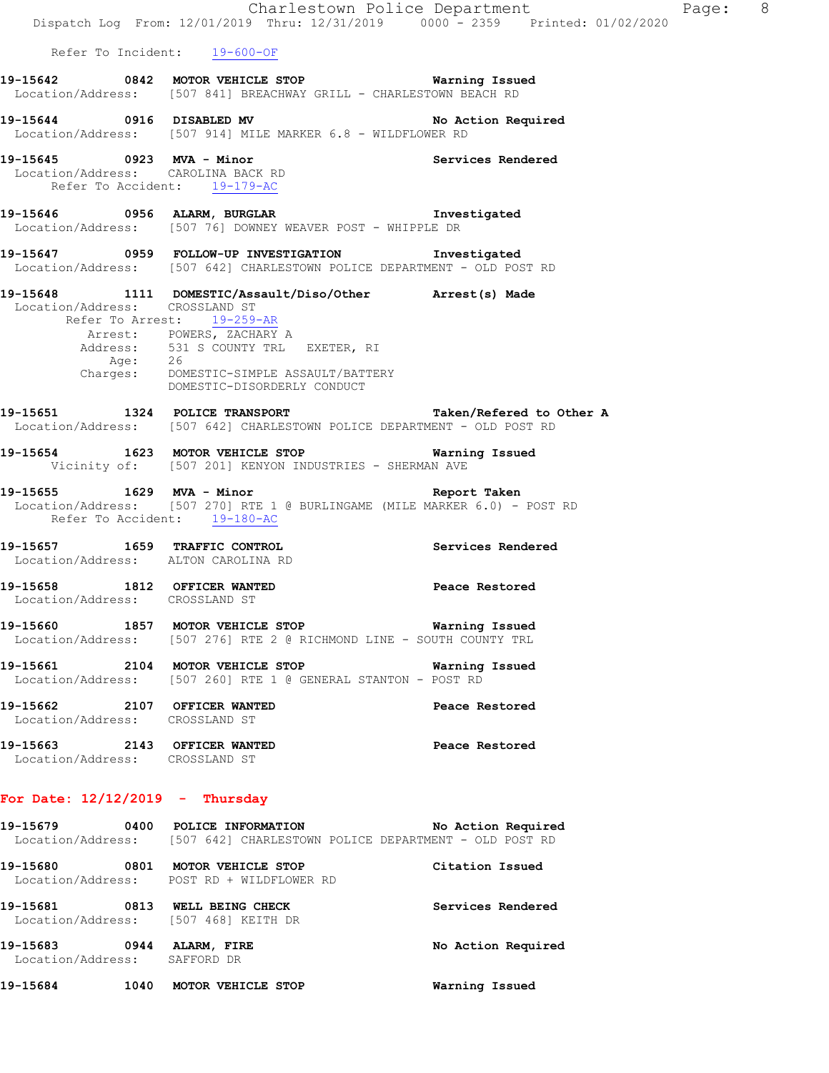|                                                                    |                                                                                                                                                                                                                                                   | Charlestown Police Department<br>Dispatch Log From: 12/01/2019 Thru: 12/31/2019 0000 - 2359 Printed: 01/02/2020 | Page: 8 |  |
|--------------------------------------------------------------------|---------------------------------------------------------------------------------------------------------------------------------------------------------------------------------------------------------------------------------------------------|-----------------------------------------------------------------------------------------------------------------|---------|--|
|                                                                    | Refer To Incident: 19-600-OF                                                                                                                                                                                                                      |                                                                                                                 |         |  |
|                                                                    | 19-15642 0842 MOTOR VEHICLE STOP Warning Issued<br>Location/Address: [507 841] BREACHWAY GRILL - CHARLESTOWN BEACH RD                                                                                                                             |                                                                                                                 |         |  |
|                                                                    | 19-15644 0916 DISABLED MV<br>Location/Address: [507 914] MILE MARKER 6.8 - WILDFLOWER RD                                                                                                                                                          | No Action Required                                                                                              |         |  |
| Location/Address: CAROLINA BACK RD<br>Refer To Accident: 19-179-AC | 19-15645 0923 MVA - Minor<br>Lisaatias (believes: CAROLINA BACK BR                                                                                                                                                                                |                                                                                                                 |         |  |
|                                                                    | 19-15646 0956 ALARM, BURGLAR 19-15646 Investigated<br>Location/Address: [507 76] DOWNEY WEAVER POST - WHIPPLE DR                                                                                                                                  |                                                                                                                 |         |  |
|                                                                    | 19-15647 0959 FOLLOW-UP INVESTIGATION 1nvestigated<br>Location/Address: [507 642] CHARLESTOWN POLICE DEPARTMENT - OLD POST RD                                                                                                                     |                                                                                                                 |         |  |
| Location/Address: CROSSLAND ST                                     | 19-15648 1111 DOMESTIC/Assault/Diso/Other Arrest(s) Made<br>Refer To Arrest: 19-259-AR<br>Arrest: POWERS, ZACHARY A<br>Address: 531 S COUNTY TRL EXETER, RI<br>Age: 26<br>Charges: DOMESTIC-SIMPLE ASSAULT/BATTERY<br>DOMESTIC-DISORDERLY CONDUCT |                                                                                                                 |         |  |
|                                                                    | 19-15651 1324 POLICE TRANSPORT 19-15651 Taken/Refered to Other A<br>Location/Address: [507 642] CHARLESTOWN POLICE DEPARTMENT - OLD POST RD                                                                                                       |                                                                                                                 |         |  |
|                                                                    | 19-15654 1623 MOTOR VEHICLE STOP Warning Issued<br>Vicinity of: [507 201] KENYON INDUSTRIES - SHERMAN AVE                                                                                                                                         |                                                                                                                 |         |  |
| Refer To Accident: 19-180-AC                                       | 19-15655 1629 MVA - Minor<br>Location/Address: [507 270] RTE 1 @ BURLINGAME (MILE MARKER 6.0) - POST RD                                                                                                                                           | Report Taken                                                                                                    |         |  |
| Location/Address: ALTON CAROLINA RD                                | 19-15657 1659 TRAFFIC CONTROL 19-15657 Services Rendered                                                                                                                                                                                          |                                                                                                                 |         |  |
| 19-15658 1812 OFFICER WANTED<br>Location/Address: CROSSLAND ST     |                                                                                                                                                                                                                                                   | Peace Restored                                                                                                  |         |  |
|                                                                    | 19-15660 1857 MOTOR VEHICLE STOP 6 Warning Issued<br>Location/Address: [507 276] RTE 2 @ RICHMOND LINE - SOUTH COUNTY TRL                                                                                                                         |                                                                                                                 |         |  |
|                                                                    | 19-15661 2104 MOTOR VEHICLE STOP 6 Warning Issued<br>Location/Address: [507 260] RTE 1 @ GENERAL STANTON - POST RD                                                                                                                                |                                                                                                                 |         |  |
| 19-15662 2107 OFFICER WANTED<br>Location/Address: CROSSLAND ST     |                                                                                                                                                                                                                                                   | Peace Restored                                                                                                  |         |  |
| Location/Address: CROSSLAND ST                                     | 19-15663 2143 OFFICER WANTED                                                                                                                                                                                                                      | Peace Restored                                                                                                  |         |  |
| For Date: $12/12/2019$ - Thursday                                  |                                                                                                                                                                                                                                                   |                                                                                                                 |         |  |
|                                                                    | 19-15679 0400 POLICE INFORMATION<br>Location/Address: [507 642] CHARLESTOWN POLICE DEPARTMENT - OLD POST RD                                                                                                                                       | No Action Required                                                                                              |         |  |
|                                                                    | 19-15680 0801 MOTOR VEHICLE STOP<br>Location/Address: POST RD + WILDFLOWER RD                                                                                                                                                                     | Citation Issued                                                                                                 |         |  |
| Location/Address: [507 468] KEITH DR                               | 19-15681 0813 WELL BEING CHECK                                                                                                                                                                                                                    | Services Rendered                                                                                               |         |  |
| 19-15683 0944 ALARM, FIRE<br>Location/Address: SAFFORD DR          |                                                                                                                                                                                                                                                   | No Action Required                                                                                              |         |  |
| 19-15684 1040 MOTOR VEHICLE STOP                                   |                                                                                                                                                                                                                                                   | Warning Issued                                                                                                  |         |  |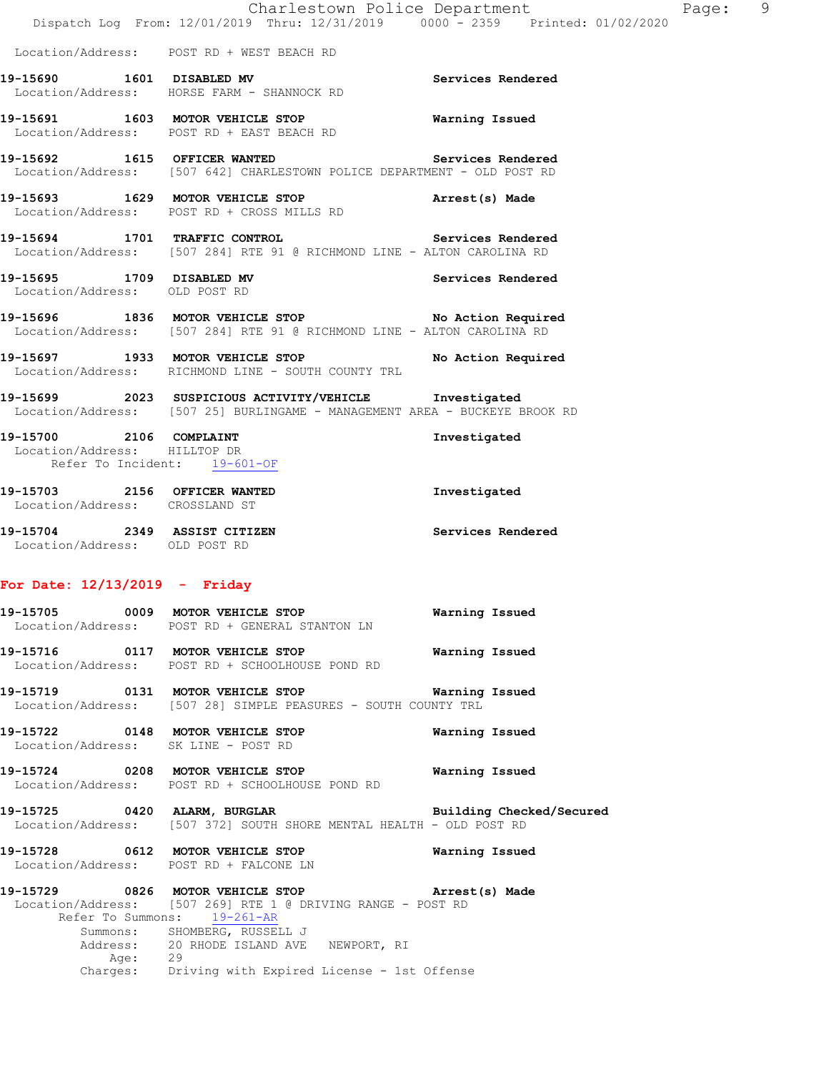|                                                                |                                                                                                                                      | Charlestown Police Department<br>Dispatch Log From: 12/01/2019 Thru: 12/31/2019 0000 - 2359 Printed: 01/02/2020 | Page: 9 |  |
|----------------------------------------------------------------|--------------------------------------------------------------------------------------------------------------------------------------|-----------------------------------------------------------------------------------------------------------------|---------|--|
|                                                                | Location/Address: POST RD + WEST BEACH RD                                                                                            |                                                                                                                 |         |  |
|                                                                | 19-15690 1601 DISABLED MV<br>Location/Address: HORSE FARM - SHANNOCK RD                                                              | Services Rendered                                                                                               |         |  |
|                                                                | 19-15691 1603 MOTOR VEHICLE STOP<br>Location/Address: POST RD + EAST BEACH RD                                                        | Warning Issued                                                                                                  |         |  |
|                                                                | 19-15692 1615 OFFICER WANTED Services Rendered<br>Location/Address: [507 642] CHARLESTOWN POLICE DEPARTMENT - OLD POST RD            |                                                                                                                 |         |  |
|                                                                | 19-15693 1629 MOTOR VEHICLE STOP <b>Arrest(s)</b> Made<br>Location/Address: POST RD + CROSS MILLS RD                                 |                                                                                                                 |         |  |
|                                                                | 19-15694 1701 TRAFFIC CONTROL Services Rendered<br>Location/Address: [507 284] RTE 91 @ RICHMOND LINE - ALTON CAROLINA RD            |                                                                                                                 |         |  |
| Location/Address: OLD POST RD                                  | 19-15695 1709 DISABLED MV                                                                                                            | Services Rendered                                                                                               |         |  |
|                                                                | 19-15696 1836 MOTOR VEHICLE STOP No Action Required<br>Location/Address: [507 284] RTE 91 @ RICHMOND LINE - ALTON CAROLINA RD        |                                                                                                                 |         |  |
|                                                                | 19-15697 1933 MOTOR VEHICLE STOP No Action Required<br>Location/Address: RICHMOND LINE - SOUTH COUNTY TRL                            |                                                                                                                 |         |  |
|                                                                | 19-15699 2023 SUSPICIOUS ACTIVITY/VEHICLE Investigated<br>Location/Address: [507 25] BURLINGAME - MANAGEMENT AREA - BUCKEYE BROOK RD |                                                                                                                 |         |  |
| Location/Address: HILLTOP DR<br>Refer To Incident: 19-601-OF   | 19-15700 2106 COMPLAINT                                                                                                              | Investigated                                                                                                    |         |  |
| 19-15703 2156 OFFICER WANTED<br>Location/Address: CROSSLAND ST |                                                                                                                                      | Investigated                                                                                                    |         |  |
| 19-15704 2349 ASSIST CITIZEN<br>Location/Address: OLD POST RD  |                                                                                                                                      | Services Rendered                                                                                               |         |  |

# **For Date: 12/13/2019 - Friday**

|         | 19-15705 0009 MOTOR VEHICLE STOP 5 Warning Issued<br>Location/Address: POST RD + GENERAL STANTON LN                                                                                                                              |                |  |
|---------|----------------------------------------------------------------------------------------------------------------------------------------------------------------------------------------------------------------------------------|----------------|--|
|         | 19-15716  0117 MOTOR VEHICLE STOP    Varning Issued<br>Location/Address: POST RD + SCHOOLHOUSE POND RD                                                                                                                           |                |  |
|         | Location/Address: [507 28] SIMPLE PEASURES - SOUTH COUNTY TRL                                                                                                                                                                    |                |  |
|         | Location/Address: SK LINE - POST RD                                                                                                                                                                                              |                |  |
|         | 19-15724 0208 MOTOR VEHICLE STOP <b>WATILLE STOP</b><br>Location/Address: POST RD + SCHOOLHOUSE POND RD                                                                                                                          |                |  |
|         | 19-15725 0420 ALARM, BURGLAR Building Checked/Secured<br>Location/Address: [507 372] SOUTH SHORE MENTAL HEALTH - OLD POST RD                                                                                                     |                |  |
|         | 19-15728 0612 MOTOR VEHICLE STOP<br>Location/Address: POST RD + FALCONE LN                                                                                                                                                       | Warning Issued |  |
|         | 19-15729 0826 MOTOR VEHICLE STOP <b>Arrest(s)</b> Made<br>Location/Address: [507 269] RTE 1 @ DRIVING RANGE - POST RD<br>Refer To Summons: 19-261-AR<br>Summons: SHOMBERG, RUSSELL J<br>Address: 20 RHODE ISLAND AVE NEWPORT, RI |                |  |
| Age: 29 | Charges: Driving with Expired License - 1st Offense                                                                                                                                                                              |                |  |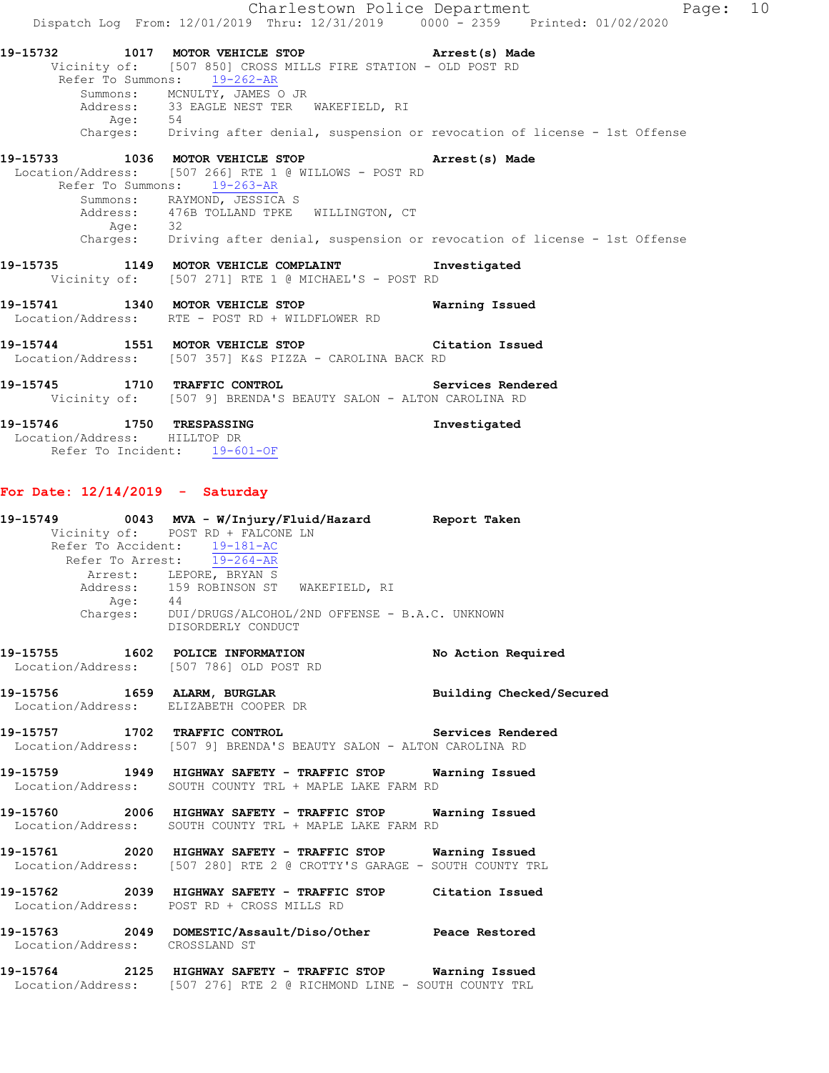Charlestown Police Department Page: 10 Dispatch Log From: 12/01/2019 Thru: 12/31/2019 0000 - 2359 Printed: 01/02/2020 **19-15732 1017 MOTOR VEHICLE STOP Arrest(s) Made**  Vicinity of: [507 850] CROSS MILLS FIRE STATION - OLD POST RD Refer To Summons: 19-262-AR Summons: MCNULTY, JAMES O JR Address: 33 EAGLE NEST TER WAKEFIELD, RI Age: 54 Charges: Driving after denial, suspension or revocation of license - 1st Offense **19-15733 1036 MOTOR VEHICLE STOP Arrest(s) Made**  Location/Address: [507 266] RTE 1 @ WILLOWS - POST RD Refer To Summons: 19-263-AR Summons: RAYMOND, JESSICA S Address: 476B TOLLAND TPKE WILLINGTON, CT Age: 32 Charges: Driving after denial, suspension or revocation of license - 1st Offense **19-15735 1149 MOTOR VEHICLE COMPLAINT Investigated**  Vicinity of: [507 271] RTE 1 @ MICHAEL'S - POST RD **19-15741 1340 MOTOR VEHICLE STOP Warning Issued**  Location/Address: RTE - POST RD + WILDFLOWER RD **19-15744 1551 MOTOR VEHICLE STOP Citation Issued**  Location/Address: [507 357] K&S PIZZA - CAROLINA BACK RD **19-15745 1710 TRAFFIC CONTROL Services Rendered**  Vicinity of: [507 9] BRENDA'S BEAUTY SALON - ALTON CAROLINA RD **19-15746 1750 TRESPASSING Investigated**  Location/Address: HILLTOP DR Refer To Incident: 19-601-OF

# **For Date: 12/14/2019 - Saturday**

|                                | Vicinity of: POST RD + FALCONE LN                                                                                                    |  |
|--------------------------------|--------------------------------------------------------------------------------------------------------------------------------------|--|
|                                | Refer To Accident: 19-181-AC                                                                                                         |  |
|                                | Refer To Arrest: 19-264-AR                                                                                                           |  |
|                                | Arrest: LEPORE, BRYAN S                                                                                                              |  |
|                                | Address: 159 ROBINSON ST WAKEFIELD, RI                                                                                               |  |
|                                | Age: 44<br>Charges: DUI/DRUGS/ALCOHOL/2ND OFFENSE - B.A.C. UNKNOWN                                                                   |  |
|                                | DISORDERLY CONDUCT                                                                                                                   |  |
|                                | 19-15755 1602 POLICE INFORMATION No Action Required                                                                                  |  |
|                                | Location/Address: [507 786] OLD POST RD                                                                                              |  |
|                                | 19-15756 1659 ALARM, BURGLAR BURGLAR Building Checked/Secured<br>Location/Address: ELIZABETH COOPER DR                               |  |
|                                | 19-15757 1702 TRAFFIC CONTROL 19-15757 1702<br>Location/Address: [507 9] BRENDA'S BEAUTY SALON - ALTON CAROLINA RD                   |  |
|                                | 19-15759 1949 HIGHWAY SAFETY - TRAFFIC STOP Warning Issued<br>Location/Address: SOUTH COUNTY TRL + MAPLE LAKE FARM RD                |  |
|                                | 19-15760 2006 HIGHWAY SAFETY - TRAFFIC STOP Warning Issued<br>Location/Address: SOUTH COUNTY TRL + MAPLE LAKE FARM RD                |  |
|                                | 19-15761 2020 HIGHWAY SAFETY - TRAFFIC STOP Warning Issued<br>Location/Address: [507 280] RTE 2 @ CROTTY'S GARAGE - SOUTH COUNTY TRL |  |
|                                | 19-15762 2039 HIGHWAY SAFETY - TRAFFIC STOP Citation Issued<br>Location/Address: POST RD + CROSS MILLS RD                            |  |
| Location/Address: CROSSLAND ST | 19-15763 2049 DOMESTIC/Assault/Diso/Other Peace Restored                                                                             |  |
|                                | 19-15764 2125 HIGHWAY SAFETY - TRAFFIC STOP Warning Issued                                                                           |  |

Location/Address: [507 276] RTE 2 @ RICHMOND LINE - SOUTH COUNTY TRL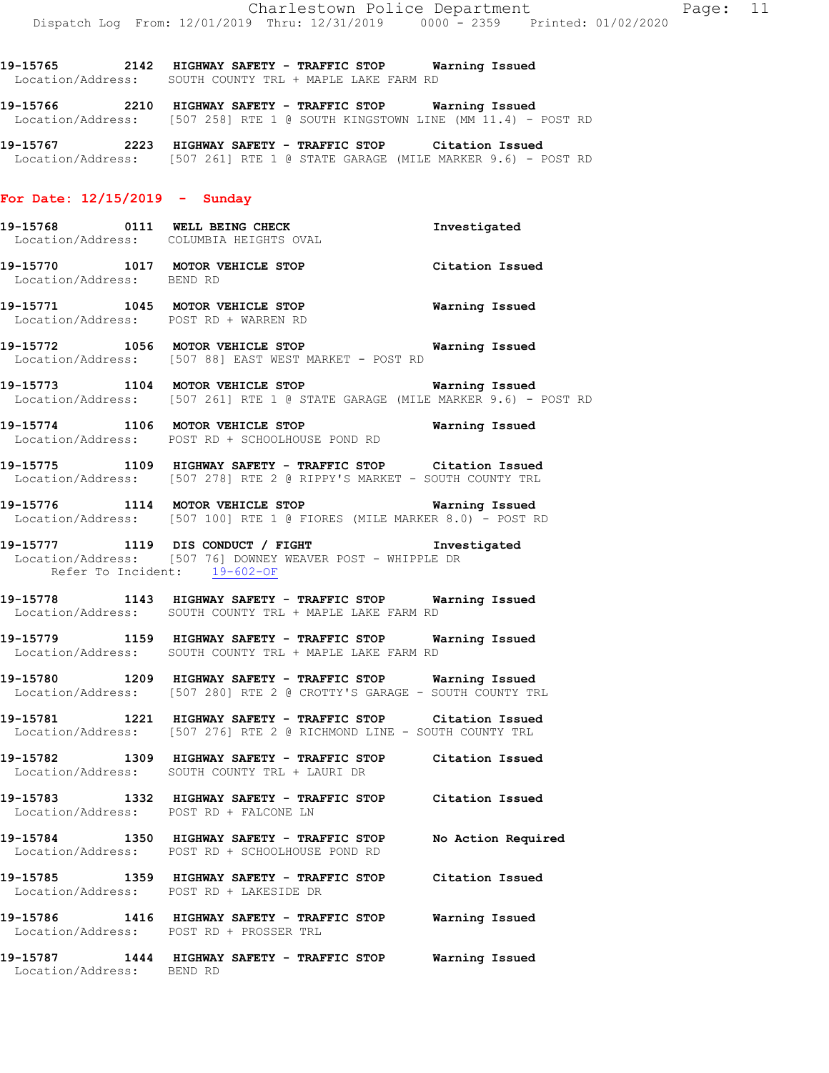**19-15765 2142 HIGHWAY SAFETY - TRAFFIC STOP Warning Issued**  Location/Address: SOUTH COUNTY TRL + MAPLE LAKE FARM RD

**19-15766 2210 HIGHWAY SAFETY - TRAFFIC STOP Warning Issued**  Location/Address: [507 258] RTE 1 @ SOUTH KINGSTOWN LINE (MM 11.4) - POST RD

**19-15767 2223 HIGHWAY SAFETY - TRAFFIC STOP Citation Issued**  Location/Address: [507 261] RTE 1 @ STATE GARAGE (MILE MARKER 9.6) - POST RD

#### **For Date: 12/15/2019 - Sunday**

- **19-15768 0111 WELL BEING CHECK Investigated**  Location/Address: COLUMBIA HEIGHTS OVAL
- **19-15770 1017 MOTOR VEHICLE STOP Citation Issued**  Location/Address: BEND RD
- **19-15771 1045 MOTOR VEHICLE STOP Warning Issued**  Location/Address: POST RD + WARREN RD
- **19-15772 1056 MOTOR VEHICLE STOP Warning Issued**  Location/Address: [507 88] EAST WEST MARKET - POST RD
- **19-15773 1104 MOTOR VEHICLE STOP Warning Issued**  Location/Address: [507 261] RTE 1 @ STATE GARAGE (MILE MARKER 9.6) - POST RD
- **19-15774 1106 MOTOR VEHICLE STOP Warning Issued**  Location/Address: POST RD + SCHOOLHOUSE POND RD
- **19-15775 1109 HIGHWAY SAFETY TRAFFIC STOP Citation Issued**  Location/Address: [507 278] RTE 2 @ RIPPY'S MARKET - SOUTH COUNTY TRL
- **19-15776 1114 MOTOR VEHICLE STOP Warning Issued**  Location/Address: [507 100] RTE 1 @ FIORES (MILE MARKER 8.0) - POST RD
- **19-15777 1119 DIS CONDUCT / FIGHT Investigated**  Location/Address: [507 76] DOWNEY WEAVER POST - WHIPPLE DR Refer To Incident: 19-602-OF
- **19-15778 1143 HIGHWAY SAFETY TRAFFIC STOP Warning Issued**  Location/Address: SOUTH COUNTY TRL + MAPLE LAKE FARM RD
- **19-15779 1159 HIGHWAY SAFETY TRAFFIC STOP Warning Issued**  Location/Address: SOUTH COUNTY TRL + MAPLE LAKE FARM RD
- **19-15780 1209 HIGHWAY SAFETY TRAFFIC STOP Warning Issued**  Location/Address: [507 280] RTE 2 @ CROTTY'S GARAGE - SOUTH COUNTY TRL
- **19-15781 1221 HIGHWAY SAFETY TRAFFIC STOP Citation Issued**  Location/Address: [507 276] RTE 2 @ RICHMOND LINE - SOUTH COUNTY TRL
- **19-15782 1309 HIGHWAY SAFETY TRAFFIC STOP Citation Issued**  Location/Address: SOUTH COUNTY TRL + LAURI DR
- **19-15783 1332 HIGHWAY SAFETY TRAFFIC STOP Citation Issued**  Location/Address: POST RD + FALCONE LN
- **19-15784 1350 HIGHWAY SAFETY TRAFFIC STOP No Action Required**  Location/Address: POST RD + SCHOOLHOUSE POND RD
- **19-15785 1359 HIGHWAY SAFETY TRAFFIC STOP Citation Issued**  Location/Address: POST RD + LAKESIDE DR
- **19-15786 1416 HIGHWAY SAFETY TRAFFIC STOP Warning Issued**  Location/Address: POST RD + PROSSER TRL
- **19-15787 1444 HIGHWAY SAFETY TRAFFIC STOP Warning Issued**  Location/Address: BEND RD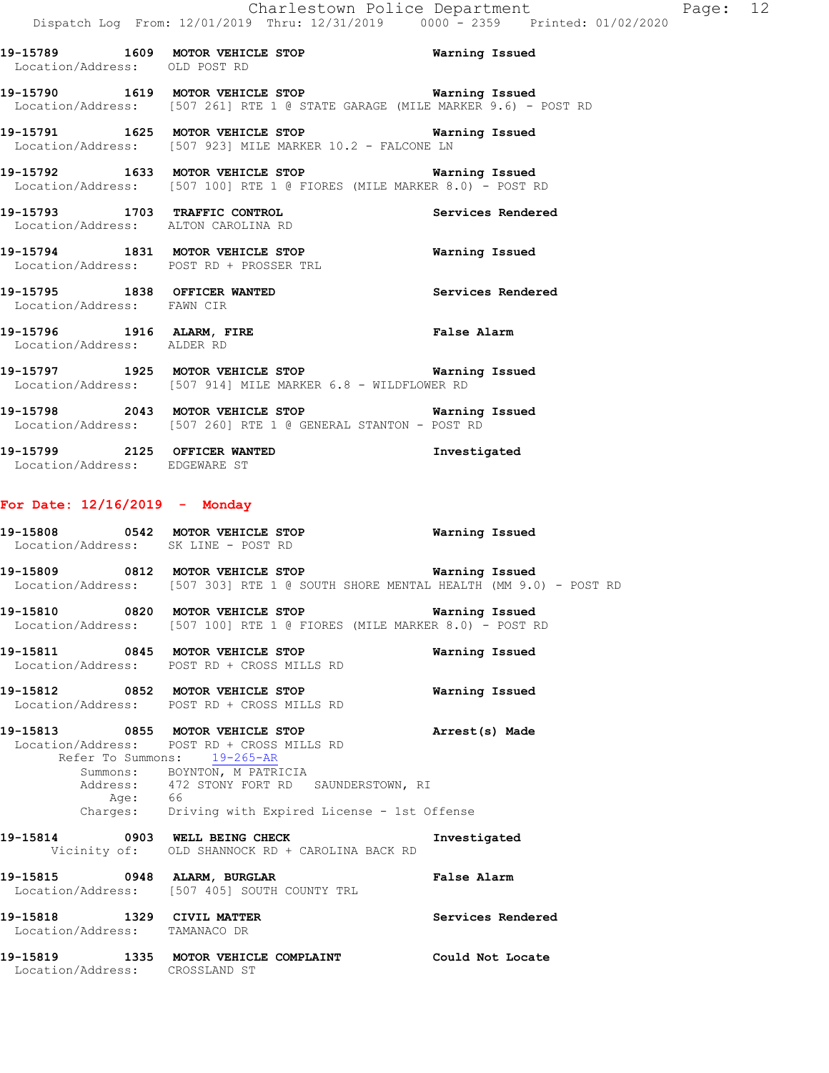**19-15789 1609 MOTOR VEHICLE STOP Warning Issued**  Location/Address: OLD POST RD

**19-15790 1619 MOTOR VEHICLE STOP Warning Issued**  Location/Address: [507 261] RTE 1 @ STATE GARAGE (MILE MARKER 9.6) - POST RD

**19-15791 1625 MOTOR VEHICLE STOP Warning Issued**  Location/Address: [507 923] MILE MARKER 10.2 - FALCONE LN

**19-15792 1633 MOTOR VEHICLE STOP Warning Issued**  Location/Address: [507 100] RTE 1 @ FIORES (MILE MARKER 8.0) - POST RD

**19-15793 1703 TRAFFIC CONTROL Services Rendered**  Location/Address: ALTON CAROLINA RD

**19-15794 1831 MOTOR VEHICLE STOP Warning Issued**  Location/Address: POST RD + PROSSER TRL

**19-15795 1838 OFFICER WANTED Services Rendered**  Location/Address: FAWN CIR

**19-15796 1916 ALARM, FIRE False Alarm**  Location/Address: ALDER RD

**19-15797 1925 MOTOR VEHICLE STOP Warning Issued**  Location/Address: [507 914] MILE MARKER 6.8 - WILDFLOWER RD

**19-15798 2043 MOTOR VEHICLE STOP Warning Issued**  Location/Address: [507 260] RTE 1 @ GENERAL STANTON - POST RD

**19-15799 2125 OFFICER WANTED Investigated**  Location/Address: EDGEWARE ST

#### **For Date: 12/16/2019 - Monday**

**19-15808 0542 MOTOR VEHICLE STOP Warning Issued**  Location/Address: SK LINE - POST RD

**19-15809 0812 MOTOR VEHICLE STOP Warning Issued**  Location/Address: [507 303] RTE 1 @ SOUTH SHORE MENTAL HEALTH (MM 9.0) - POST RD

**19-15810 0820 MOTOR VEHICLE STOP Warning Issued**  Location/Address: [507 100] RTE 1 @ FIORES (MILE MARKER 8.0) - POST RD

**19-15811 0845 MOTOR VEHICLE STOP Warning Issued**  Location/Address: POST RD + CROSS MILLS RD

**19-15812 0852 MOTOR VEHICLE STOP Warning Issued**  Location/Address: POST RD + CROSS MILLS RD

**19-15813 0855 MOTOR VEHICLE STOP Arrest(s) Made**  Location/Address: POST RD + CROSS MILLS RD Refer To Summons: 19-265-AR Summons: BOYNTON, M PATRICIA Address: 472 STONY FORT RD SAUNDERSTOWN, RI Age: 66 Charges: Driving with Expired License - 1st Offense

**19-15814 0903 WELL BEING CHECK Investigated**  Vicinity of: OLD SHANNOCK RD + CAROLINA BACK RD

**19-15815 0948 ALARM, BURGLAR False Alarm**  Location/Address: [507 405] SOUTH COUNTY TRL **19-15818 1329 CIVIL MATTER Services Rendered** 

Location/Address: TAMANACO DR

**19-15819 1335 MOTOR VEHICLE COMPLAINT Could Not Locate**  Location/Address: CROSSLAND ST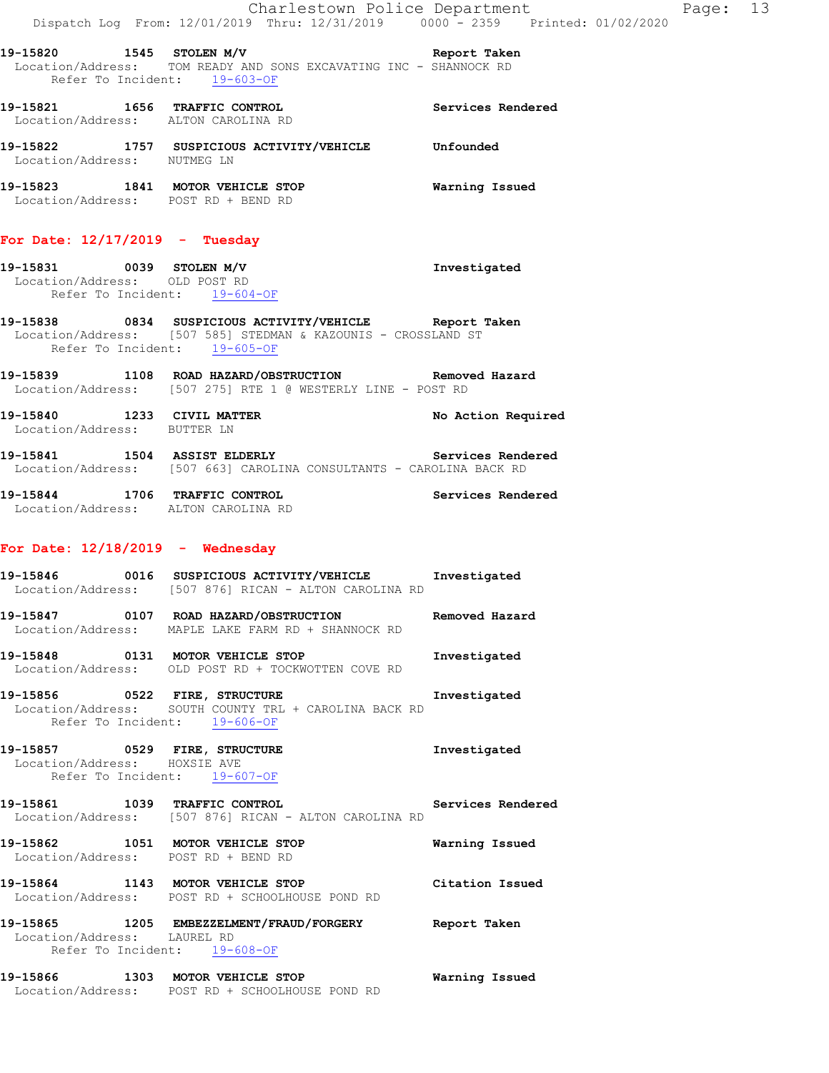**19-15820 1545 STOLEN M/V Report Taken**  Location/Address: TOM READY AND SONS EXCAVATING INC - SHANNOCK RD Refer To Incident: 19-603-OF

- **19-15821 1656 TRAFFIC CONTROL Services Rendered**  Location/Address: ALTON CAROLINA RD
- **19-15822 1757 SUSPICIOUS ACTIVITY/VEHICLE Unfounded**  Location/Address: NUTMEG LN
- **19-15823 1841 MOTOR VEHICLE STOP Warning Issued**  Location/Address: POST RD + BEND RD

### **For Date: 12/17/2019 - Tuesday**

- **19-15831 0039 STOLEN M/V Investigated**  Location/Address: OLD POST RD Refer To Incident: 19-604-OF
- **19-15838 0834 SUSPICIOUS ACTIVITY/VEHICLE Report Taken**  Location/Address: [507 585] STEDMAN & KAZOUNIS - CROSSLAND ST Refer To Incident: 19-605-OF
- **19-15839 1108 ROAD HAZARD/OBSTRUCTION Removed Hazard**  Location/Address: [507 275] RTE 1 @ WESTERLY LINE - POST RD

19-15840 1233 CIVIL MATTER **19-15840** No Action Required Location/Address: BUTTER LN

**19-15841 1504 ASSIST ELDERLY Services Rendered**  Location/Address: [507 663] CAROLINA CONSULTANTS - CAROLINA BACK RD

**19-15844 1706 TRAFFIC CONTROL Services Rendered**  Location/Address: ALTON CAROLINA RD

# **For Date: 12/18/2019 - Wednesday**

- **19-15846 0016 SUSPICIOUS ACTIVITY/VEHICLE Investigated**  Location/Address: [507 876] RICAN - ALTON CAROLINA RD
- **19-15847 0107 ROAD HAZARD/OBSTRUCTION Removed Hazard**  Location/Address: MAPLE LAKE FARM RD + SHANNOCK RD
- **19-15848 0131 MOTOR VEHICLE STOP Investigated**  Location/Address: OLD POST RD + TOCKWOTTEN COVE RD
- **19-15856 0522 FIRE, STRUCTURE Investigated**  Location/Address: SOUTH COUNTY TRL + CAROLINA BACK RD Refer To Incident: 19-606-OF
- **19-15857 0529 FIRE, STRUCTURE Investigated**  Location/Address: HOXSIE AVE Refer To Incident: 19-607-OF
- **19-15861 1039 TRAFFIC CONTROL Services Rendered**  Location/Address: [507 876] RICAN - ALTON CAROLINA RD
- **19-15862 1051 MOTOR VEHICLE STOP Warning Issued**  Location/Address: POST RD + BEND RD
- **19-15864 1143 MOTOR VEHICLE STOP Citation Issued**  Location/Address: POST RD + SCHOOLHOUSE POND RD
- **19-15865 1205 EMBEZZELMENT/FRAUD/FORGERY Report Taken**  Location/Address: LAUREL RD Refer To Incident: 19-608-OF
- **19-15866 1303 MOTOR VEHICLE STOP Warning Issued**  Location/Address: POST RD + SCHOOLHOUSE POND RD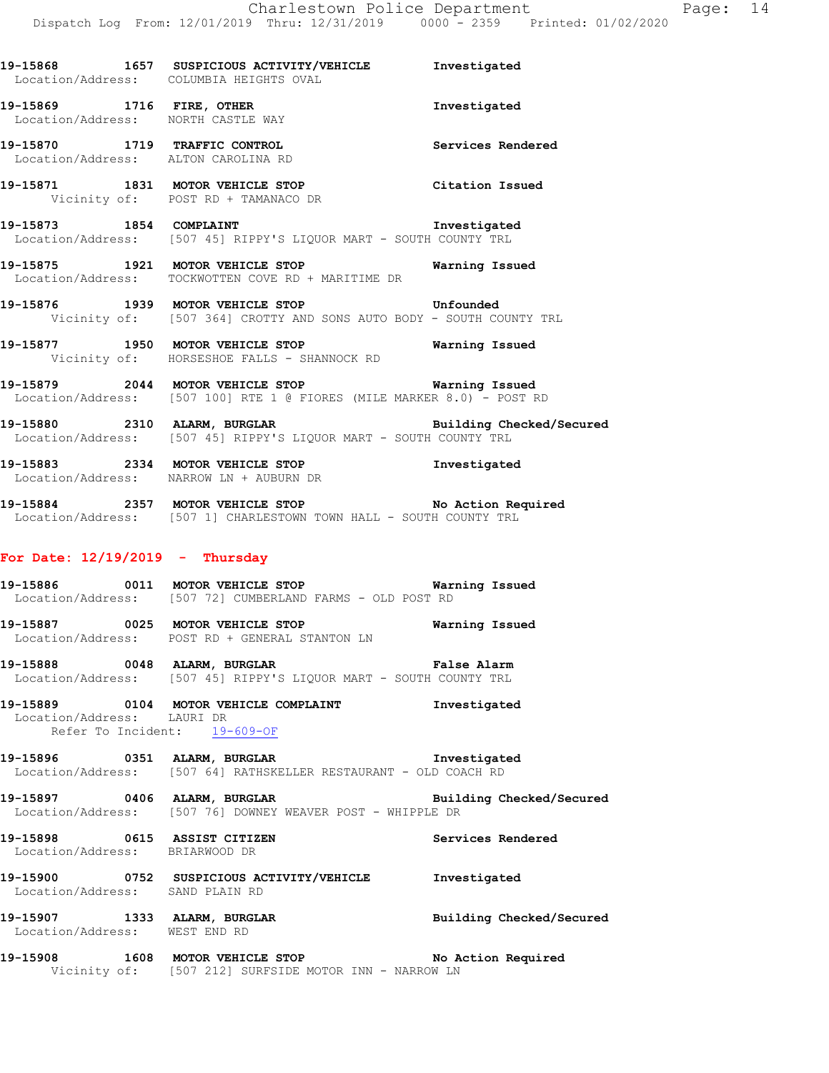| 19-15868<br>Location/Address: | 1657 | SUSPICIOUS ACTIVITY/VEHICLE<br>COLUMBIA HEIGHTS OVAL                           | Investigated      |
|-------------------------------|------|--------------------------------------------------------------------------------|-------------------|
| 19-15869<br>Location/Address: | 1716 | FIRE, OTHER<br>NORTH CASTLE WAY                                                | Investigated      |
| 19-15870<br>Location/Address: | 1719 | TRAFFIC CONTROL<br>ALTON CAROLINA RD                                           | Services Rendered |
| 19-15871                      | 1831 | <b>MOTOR VEHICLE STOP</b><br>Vicinity of: POST RD + TAMANACO DR                | Citation Issued   |
| 19-15873                      | 1854 | COMPLAINT<br>Location/Address: [507 45] RIPPY'S LIQUOR MART - SOUTH COUNTY TRL | Investigated      |

- **19-15875 1921 MOTOR VEHICLE STOP Warning Issued**  Location/Address: TOCKWOTTEN COVE RD + MARITIME DR
- **19-15876 1939 MOTOR VEHICLE STOP Unfounded**  Vicinity of: [507 364] CROTTY AND SONS AUTO BODY - SOUTH COUNTY TRL
- **19-15877 1950 MOTOR VEHICLE STOP Warning Issued**  Vicinity of: HORSESHOE FALLS - SHANNOCK RD
- **19-15879 2044 MOTOR VEHICLE STOP Warning Issued**  Location/Address: [507 100] RTE 1 @ FIORES (MILE MARKER 8.0) - POST RD
- **19-15880 2310 ALARM, BURGLAR Building Checked/Secured**  Location/Address: [507 45] RIPPY'S LIQUOR MART - SOUTH COUNTY TRL
- **19-15883 2334 MOTOR VEHICLE STOP Investigated**  Location/Address: NARROW LN + AUBURN DR
- **19-15884 2357 MOTOR VEHICLE STOP No Action Required**  Location/Address: [507 1] CHARLESTOWN TOWN HALL - SOUTH COUNTY TRL

#### **For Date: 12/19/2019 - Thursday**

- **19-15886 0011 MOTOR VEHICLE STOP Warning Issued**  Location/Address: [507 72] CUMBERLAND FARMS - OLD POST RD
- **19-15887 0025 MOTOR VEHICLE STOP Warning Issued**  Location/Address: POST RD + GENERAL STANTON LN
- **19-15888 0048 ALARM, BURGLAR False Alarm**  Location/Address: [507 45] RIPPY'S LIQUOR MART - SOUTH COUNTY TRL
- **19-15889 0104 MOTOR VEHICLE COMPLAINT Investigated**  Location/Address: LAURI DR Refer To Incident: 19-609-OF
- **19-15896 0351 ALARM, BURGLAR Investigated**  Location/Address: [507 64] RATHSKELLER RESTAURANT - OLD COACH RD
- **19-15897 0406 ALARM, BURGLAR Building Checked/Secured**  Location/Address: [507 76] DOWNEY WEAVER POST - WHIPPLE DR
- **19-15898 0615 ASSIST CITIZEN Services Rendered**  Location/Address: BRIARWOOD DR
- **19-15900 0752 SUSPICIOUS ACTIVITY/VEHICLE Investigated**  Location/Address: SAND PLAIN RD
- **19-15907 1333 ALARM, BURGLAR Building Checked/Secured**  Location/Address: WEST END RD
- **19-15908 1608 MOTOR VEHICLE STOP No Action Required**  Vicinity of: [507 212] SURFSIDE MOTOR INN - NARROW LN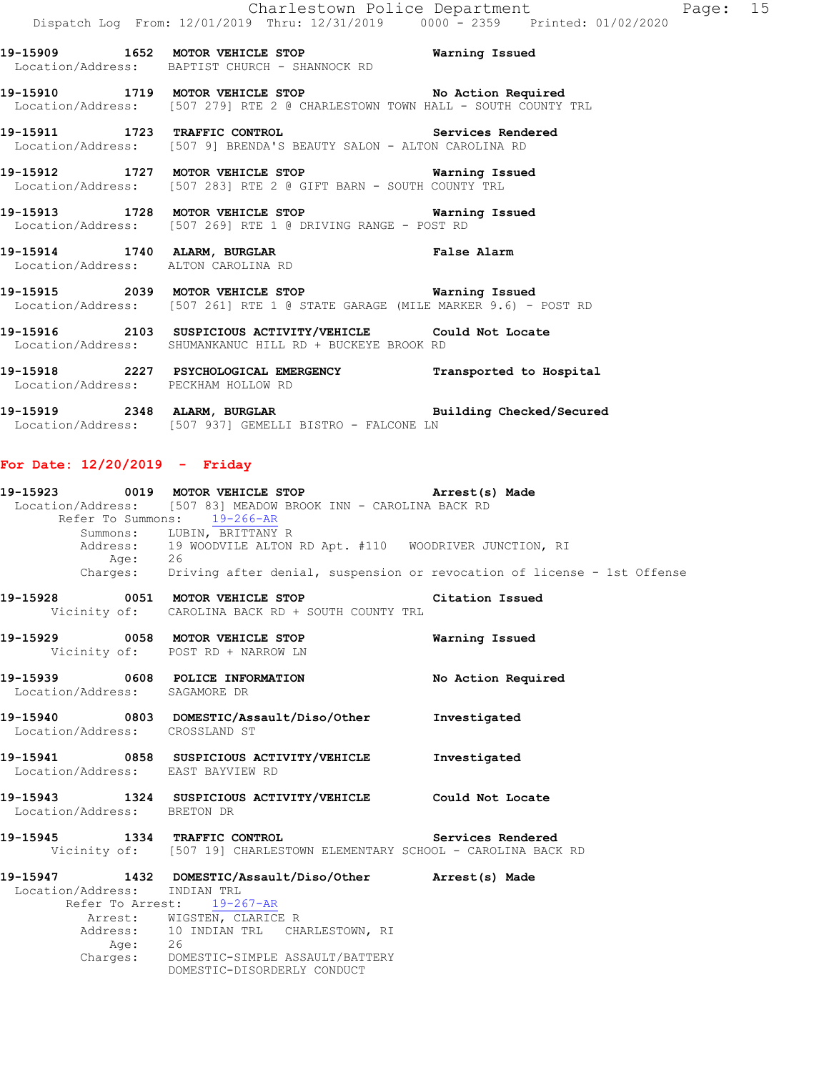**19-15909 1652 MOTOR VEHICLE STOP Warning Issued**  Location/Address: BAPTIST CHURCH - SHANNOCK RD

**19-15910 1719 MOTOR VEHICLE STOP No Action Required**  Location/Address: [507 279] RTE 2 @ CHARLESTOWN TOWN HALL - SOUTH COUNTY TRL

**19-15911 1723 TRAFFIC CONTROL Services Rendered**  Location/Address: [507 9] BRENDA'S BEAUTY SALON - ALTON CAROLINA RD

**19-15912 1727 MOTOR VEHICLE STOP Warning Issued**  Location/Address: [507 283] RTE 2 @ GIFT BARN - SOUTH COUNTY TRL

**19-15913 1728 MOTOR VEHICLE STOP Warning Issued**  Location/Address: [507 269] RTE 1 @ DRIVING RANGE - POST RD

**19-15914 1740 ALARM, BURGLAR False Alarm**  Location/Address: ALTON CAROLINA RD

**19-15915 2039 MOTOR VEHICLE STOP Warning Issued**  Location/Address: [507 261] RTE 1 @ STATE GARAGE (MILE MARKER 9.6) - POST RD

**19-15916 2103 SUSPICIOUS ACTIVITY/VEHICLE Could Not Locate**  Location/Address: SHUMANKANUC HILL RD + BUCKEYE BROOK RD

**19-15918 2227 PSYCHOLOGICAL EMERGENCY Transported to Hospital**  Location/Address: PECKHAM HOLLOW RD

**19-15919 2348 ALARM, BURGLAR Building Checked/Secured**  Location/Address: [507 937] GEMELLI BISTRO - FALCONE LN

#### **For Date: 12/20/2019 - Friday**

**19-15923 0019 MOTOR VEHICLE STOP Arrest(s) Made**  Location/Address: [507 83] MEADOW BROOK INN - CAROLINA BACK RD Refer To Summons: 19-266-AR Summons: LUBIN, BRITTANY R Address: 19 WOODVILE ALTON RD Apt. #110 WOODRIVER JUNCTION, RI Age: 26<br>Charges: Dri Driving after denial, suspension or revocation of license - 1st Offense **19-15928 0051 MOTOR VEHICLE STOP Citation Issued**  Vicinity of: CAROLINA BACK RD + SOUTH COUNTY TRL **19-15929 0058 MOTOR VEHICLE STOP Warning Issued**  Vicinity of: POST RD + NARROW LN **19-15939 0608 POLICE INFORMATION No Action Required**  Location/Address: SAGAMORE DR **19-15940 0803 DOMESTIC/Assault/Diso/Other Investigated**  Location/Address: CROSSLAND ST **19-15941 0858 SUSPICIOUS ACTIVITY/VEHICLE Investigated**  Location/Address: EAST BAYVIEW RD **19-15943 1324 SUSPICIOUS ACTIVITY/VEHICLE Could Not Locate**  Location/Address: BRETON DR **19-15945 1334 TRAFFIC CONTROL Services Rendered**  Vicinity of: [507 19] CHARLESTOWN ELEMENTARY SCHOOL - CAROLINA BACK RD **19-15947 1432 DOMESTIC/Assault/Diso/Other Arrest(s) Made**  Location/Address: INDIAN TRL Refer To Arrest: 19-267-AR Arrest: WIGSTEN, CLARICE R Address: 10 INDIAN TRL CHARLESTOWN, RI<br>Age: 26  $Age:$  Charges: DOMESTIC-SIMPLE ASSAULT/BATTERY DOMESTIC-DISORDERLY CONDUCT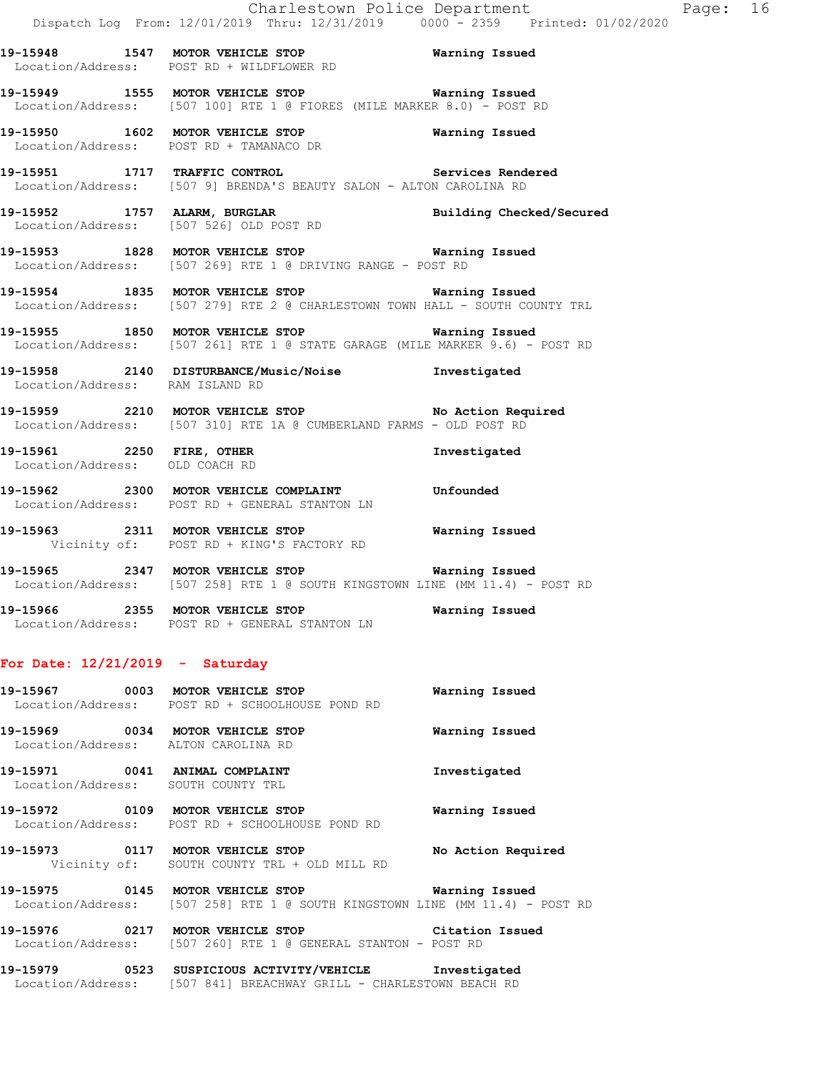**19-15948 1547 MOTOR VEHICLE STOP Warning Issued**  Location/Address: POST RD + WILDFLOWER RD

**19-15949 1555 MOTOR VEHICLE STOP Warning Issued**  Location/Address: [507 100] RTE 1 @ FIORES (MILE MARKER 8.0) - POST RD

**19-15950 1602 MOTOR VEHICLE STOP Warning Issued**  Location/Address: POST RD + TAMANACO DR

**19-15951 1717 TRAFFIC CONTROL Services Rendered**  Location/Address: [507 9] BRENDA'S BEAUTY SALON - ALTON CAROLINA RD

**19-15952 1757 ALARM, BURGLAR Building Checked/Secured**  Location/Address: [507 526] OLD POST RD

**19-15953 1828 MOTOR VEHICLE STOP Warning Issued**  Location/Address: [507 269] RTE 1 @ DRIVING RANGE - POST RD

**19-15954 1835 MOTOR VEHICLE STOP Warning Issued**  Location/Address: [507 279] RTE 2 @ CHARLESTOWN TOWN HALL - SOUTH COUNTY TRL

**19-15955 1850 MOTOR VEHICLE STOP Warning Issued**  Location/Address: [507 261] RTE 1 @ STATE GARAGE (MILE MARKER 9.6) - POST RD

**19-15958 2140 DISTURBANCE/Music/Noise Investigated**  Location/Address: RAM ISLAND RD

**19-15959 2210 MOTOR VEHICLE STOP No Action Required**  Location/Address: [507 310] RTE 1A @ CUMBERLAND FARMS - OLD POST RD

**19-15961 2250 FIRE, OTHER Investigated**  Location/Address: OLD COACH RD

**19-15962 2300 MOTOR VEHICLE COMPLAINT Unfounded**  Location/Address: POST RD + GENERAL STANTON LN

**19-15963 2311 MOTOR VEHICLE STOP Warning Issued**  Vicinity of: POST RD + KING'S FACTORY RD

**19-15965 2347 MOTOR VEHICLE STOP Warning Issued**  Location/Address: [507 258] RTE 1 @ SOUTH KINGSTOWN LINE (MM 11.4) - POST RD

**19-15966 2355 MOTOR VEHICLE STOP Warning Issued**  Location/Address: POST RD + GENERAL STANTON LN

#### **For Date: 12/21/2019 - Saturday**

**19-15967 0003 MOTOR VEHICLE STOP Warning Issued**  Location/Address: POST RD + SCHOOLHOUSE POND RD **19-15969 0034 MOTOR VEHICLE STOP Warning Issued**  Location/Address: ALTON CAROLINA RD **19-15971 0041 ANIMAL COMPLAINT Investigated**  Location/Address: SOUTH COUNTY TRL **19-15972 0109 MOTOR VEHICLE STOP Warning Issued**  Location/Address: POST RD + SCHOOLHOUSE POND RD **19-15973 0117 MOTOR VEHICLE STOP No Action Required**  Vicinity of: SOUTH COUNTY TRL + OLD MILL RD **19-15975 0145 MOTOR VEHICLE STOP Warning Issued** 

Location/Address: [507 258] RTE 1 @ SOUTH KINGSTOWN LINE (MM 11.4) - POST RD

**19-15976 0217 MOTOR VEHICLE STOP Citation Issued**  Location/Address: [507 260] RTE 1 @ GENERAL STANTON - POST RD

**19-15979 0523 SUSPICIOUS ACTIVITY/VEHICLE Investigated**  Location/Address: [507 841] BREACHWAY GRILL - CHARLESTOWN BEACH RD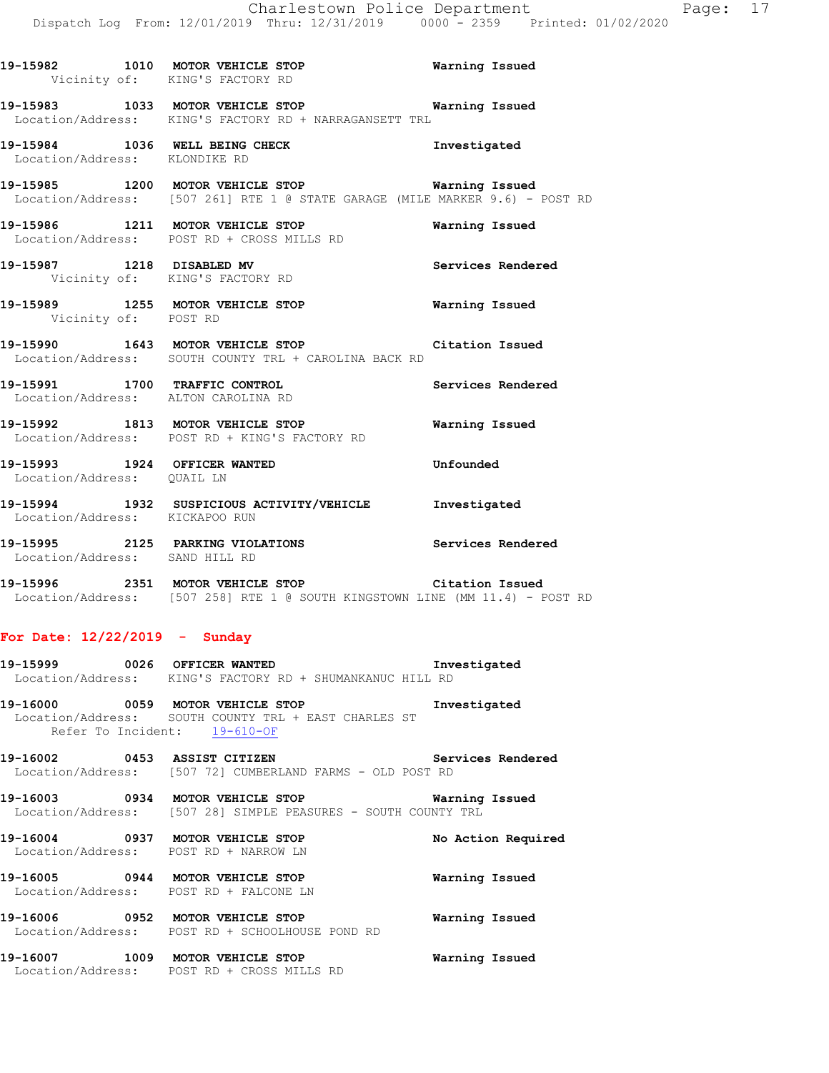**19-15982 1010 MOTOR VEHICLE STOP Warning Issued**  Vicinity of: KING'S FACTORY RD **19-15983 1033 MOTOR VEHICLE STOP Warning Issued**  Location/Address: KING'S FACTORY RD + NARRAGANSETT TRL **19-15984 1036 WELL BEING CHECK Investigated**  Location/Address: KLONDIKE RD **19-15985 1200 MOTOR VEHICLE STOP Warning Issued**  Location/Address: [507 261] RTE 1 @ STATE GARAGE (MILE MARKER 9.6) - POST RD **19-15986 1211 MOTOR VEHICLE STOP Warning Issued**  Location/Address: POST RD + CROSS MILLS RD

**19-15987 1218 DISABLED MV Services Rendered**  Vicinity of: KING'S FACTORY RD **19-15989 1255 MOTOR VEHICLE STOP Warning Issued**  Vicinity of: POST RD

**19-15990 1643 MOTOR VEHICLE STOP Citation Issued**  Location/Address: SOUTH COUNTY TRL + CAROLINA BACK RD

**19-15991 1700 TRAFFIC CONTROL Services Rendered**  Location/Address: ALTON CAROLINA RD

**19-15992 1813 MOTOR VEHICLE STOP Warning Issued**  Location/Address: POST RD + KING'S FACTORY RD

**19-15993 1924 OFFICER WANTED Unfounded**  Location/Address: QUAIL LN

**19-15994 1932 SUSPICIOUS ACTIVITY/VEHICLE Investigated**  Location/Address: KICKAPOO RUN

**19-15995 2125 PARKING VIOLATIONS Services Rendered**  Location/Address: SAND HILL RD

**19-15996 2351 MOTOR VEHICLE STOP Citation Issued**  Location/Address: [507 258] RTE 1 @ SOUTH KINGSTOWN LINE (MM 11.4) - POST RD

#### **For Date: 12/22/2019 - Sunday**

**19-15999 0026 OFFICER WANTED Investigated**  Location/Address: KING'S FACTORY RD + SHUMANKANUC HILL RD

**19-16000 0059 MOTOR VEHICLE STOP Investigated**  Location/Address: SOUTH COUNTY TRL + EAST CHARLES ST Refer To Incident: 19-610-OF

**19-16002 0453 ASSIST CITIZEN Services Rendered**  Location/Address: [507 72] CUMBERLAND FARMS - OLD POST RD

**19-16003 0934 MOTOR VEHICLE STOP Warning Issued**  Location/Address: [507 28] SIMPLE PEASURES - SOUTH COUNTY TRL

**19-16004 0937 MOTOR VEHICLE STOP No Action Required**  Location/Address: POST RD + NARROW LN **19-16005 0944 MOTOR VEHICLE STOP Warning Issued**  Location/Address: POST RD + FALCONE LN

**19-16006 0952 MOTOR VEHICLE STOP Warning Issued**  Location/Address: POST RD + SCHOOLHOUSE POND RD

**19-16007 1009 MOTOR VEHICLE STOP Warning Issued**  Location/Address: POST RD + CROSS MILLS RD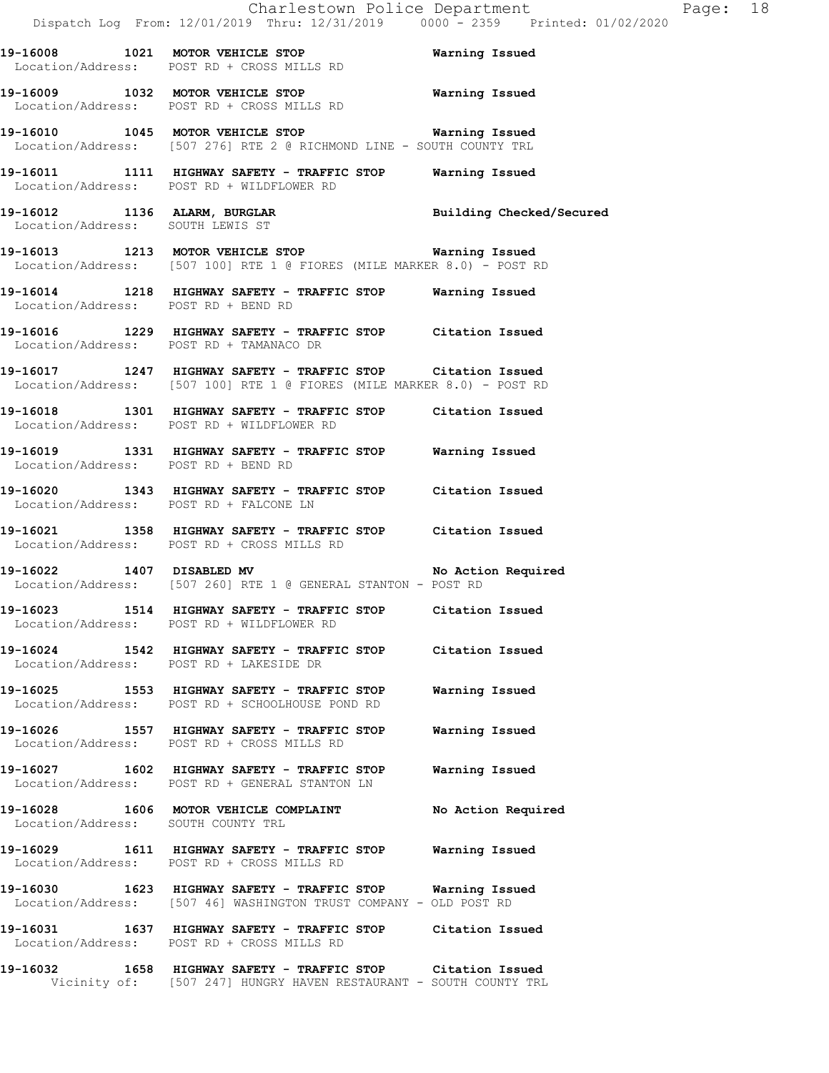**19-16008 1021 MOTOR VEHICLE STOP Warning Issued**  Location/Address: POST RD + CROSS MILLS RD **19-16009 1032 MOTOR VEHICLE STOP Warning Issued**  Location/Address: POST RD + CROSS MILLS RD **19-16010 1045 MOTOR VEHICLE STOP Warning Issued**  Location/Address: [507 276] RTE 2 @ RICHMOND LINE - SOUTH COUNTY TRL **19-16011 1111 HIGHWAY SAFETY - TRAFFIC STOP Warning Issued**  Location/Address: POST RD + WILDFLOWER RD **19-16012 1136 ALARM, BURGLAR Building Checked/Secured**  Location/Address: SOUTH LEWIS ST **19-16013 1213 MOTOR VEHICLE STOP Warning Issued**  Location/Address: [507 100] RTE 1 @ FIORES (MILE MARKER 8.0) - POST RD **19-16014 1218 HIGHWAY SAFETY - TRAFFIC STOP Warning Issued**  Location/Address: POST RD + BEND RD **19-16016 1229 HIGHWAY SAFETY - TRAFFIC STOP Citation Issued**  Location/Address: POST RD + TAMANACO DR **19-16017 1247 HIGHWAY SAFETY - TRAFFIC STOP Citation Issued**  Location/Address: [507 100] RTE 1 @ FIORES (MILE MARKER 8.0) - POST RD

**19-16018 1301 HIGHWAY SAFETY - TRAFFIC STOP Citation Issued**  Location/Address: POST RD + WILDFLOWER RD

**19-16019 1331 HIGHWAY SAFETY - TRAFFIC STOP Warning Issued**  Location/Address: POST RD + BEND RD

**19-16020 1343 HIGHWAY SAFETY - TRAFFIC STOP Citation Issued**  POST RD + FALCONE LN

**19-16021 1358 HIGHWAY SAFETY - TRAFFIC STOP Citation Issued**  Location/Address: POST RD + CROSS MILLS RD

**19-16022 1407 DISABLED MV No Action Required**  Location/Address: [507 260] RTE 1 @ GENERAL STANTON - POST RD

**19-16023 1514 HIGHWAY SAFETY - TRAFFIC STOP Citation Issued**  Location/Address: POST RD + WILDFLOWER RD

**19-16024 1542 HIGHWAY SAFETY - TRAFFIC STOP Citation Issued**  Location/Address: POST RD + LAKESIDE DR

**19-16025 1553 HIGHWAY SAFETY - TRAFFIC STOP Warning Issued**  Location/Address: POST RD + SCHOOLHOUSE POND RD

**19-16026 1557 HIGHWAY SAFETY - TRAFFIC STOP Warning Issued**  Location/Address: POST RD + CROSS MILLS RD

**19-16027 1602 HIGHWAY SAFETY - TRAFFIC STOP Warning Issued**  Location/Address: POST RD + GENERAL STANTON LN

**19-16028 1606 MOTOR VEHICLE COMPLAINT No Action Required**  Location/Address: SOUTH COUNTY TRL

**19-16029 1611 HIGHWAY SAFETY - TRAFFIC STOP Warning Issued**  Location/Address: POST RD + CROSS MILLS RD

**19-16030 1623 HIGHWAY SAFETY - TRAFFIC STOP Warning Issued**  Location/Address: [507 46] WASHINGTON TRUST COMPANY - OLD POST RD

**19-16031 1637 HIGHWAY SAFETY - TRAFFIC STOP Citation Issued**  Location/Address: POST RD + CROSS MILLS RD

**19-16032 1658 HIGHWAY SAFETY - TRAFFIC STOP Citation Issued**  Vicinity of: [507 247] HUNGRY HAVEN RESTAURANT - SOUTH COUNTY TRL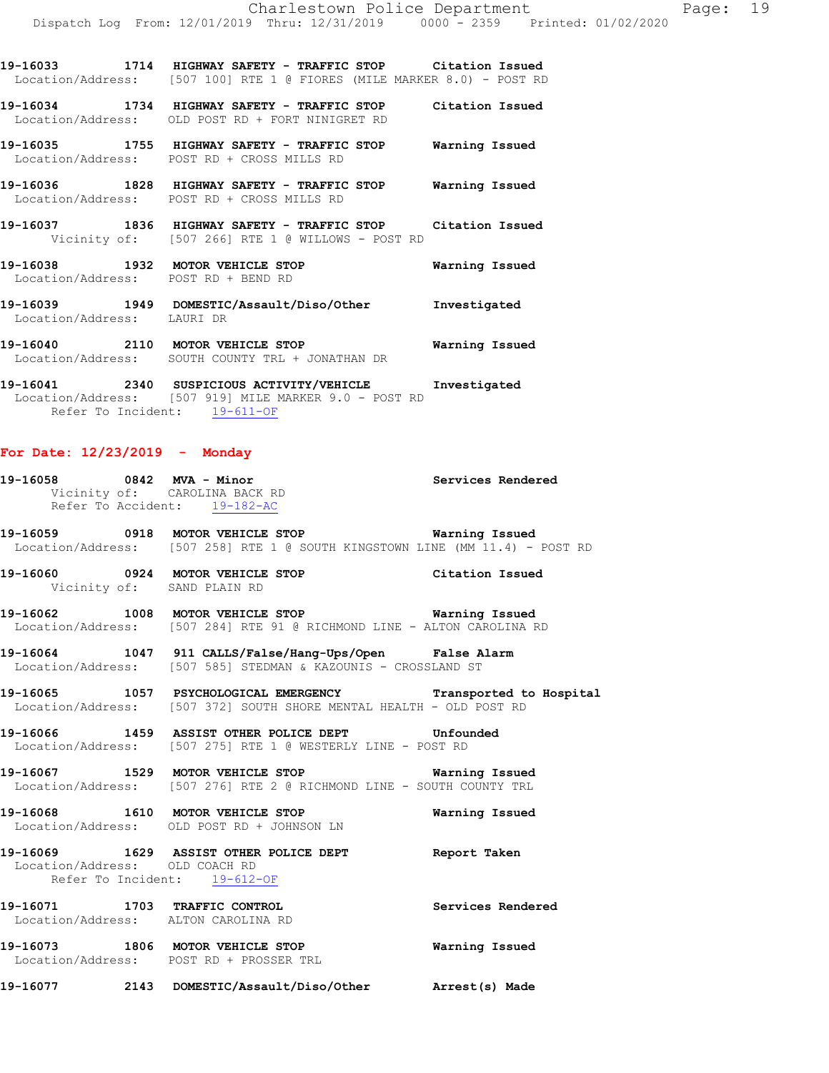**19-16033 1714 HIGHWAY SAFETY - TRAFFIC STOP Citation Issued**  Location/Address: [507 100] RTE 1 @ FIORES (MILE MARKER 8.0) - POST RD

**19-16034 1734 HIGHWAY SAFETY - TRAFFIC STOP Citation Issued**  Location/Address: OLD POST RD + FORT NINIGRET RD

**19-16035 1755 HIGHWAY SAFETY - TRAFFIC STOP Warning Issued**  Location/Address: POST RD + CROSS MILLS RD

**19-16036 1828 HIGHWAY SAFETY - TRAFFIC STOP Warning Issued**  Location/Address: POST RD + CROSS MILLS RD

**19-16037 1836 HIGHWAY SAFETY - TRAFFIC STOP Citation Issued**  Vicinity of: [507 266] RTE 1 @ WILLOWS - POST RD

**19-16038 1932 MOTOR VEHICLE STOP Warning Issued**  Location/Address: POST RD + BEND RD

**19-16039 1949 DOMESTIC/Assault/Diso/Other Investigated**  Location/Address: LAURI DR

**19-16040 2110 MOTOR VEHICLE STOP Warning Issued**  Location/Address: SOUTH COUNTY TRL + JONATHAN DR

**19-16041 2340 SUSPICIOUS ACTIVITY/VEHICLE Investigated**  Location/Address: [507 919] MILE MARKER 9.0 - POST RD Refer To Incident: 19-611-OF

#### **For Date: 12/23/2019 - Monday**

| 19-16058 0842 MVA - Minor<br>Vicinity of: CAROLINA BACK RD<br>Refer To Accident: 19-182-AC | Services Rendered                                                                                                                      |  |
|--------------------------------------------------------------------------------------------|----------------------------------------------------------------------------------------------------------------------------------------|--|
|                                                                                            | 19-16059 0918 MOTOR VEHICLE STOP <b>Warning Issued</b><br>Location/Address: [507 258] RTE 1 @ SOUTH KINGSTOWN LINE (MM 11.4) - POST RD |  |
| Vicinity of: SAND PLAIN RD                                                                 | 19-16060 0924 MOTOR VEHICLE STOP Citation Issued                                                                                       |  |
|                                                                                            | 19-16062 1008 MOTOR VEHICLE STOP 6 Warning Issued<br>Location/Address: [507 284] RTE 91 @ RICHMOND LINE - ALTON CAROLINA RD            |  |
|                                                                                            | 19-16064 1047 911 CALLS/False/Hang-Ups/Open False Alarm<br>Location/Address: [507 585] STEDMAN & KAZOUNIS - CROSSLAND ST               |  |
|                                                                                            | 19-16065 1057 PSYCHOLOGICAL EMERGENCY Transported to Hospital<br>Location/Address: [507 372] SOUTH SHORE MENTAL HEALTH - OLD POST RD   |  |
|                                                                                            | 19-16066 1459 ASSIST OTHER POLICE DEPT Unfounded<br>Location/Address: [507 275] RTE 1 @ WESTERLY LINE - POST RD                        |  |
|                                                                                            | 19-16067 1529 MOTOR VEHICLE STOP <b>Warning Issued</b><br>Location/Address: [507 276] RTE 2 @ RICHMOND LINE - SOUTH COUNTY TRL         |  |
|                                                                                            | 19-16068 1610 MOTOR VEHICLE STOP Warning Issued<br>Location/Address: OLD POST RD + JOHNSON LN                                          |  |
| Location/Address: OLD COACH RD<br>Refer To Incident: 19-612-OF                             | 19-16069 1629 ASSIST OTHER POLICE DEPT Report Taken                                                                                    |  |
| Location/Address: ALTON CAROLINA RD                                                        | 19-16071 1703 TRAFFIC CONTROL 19-16071 Services Rendered                                                                               |  |
|                                                                                            | 19-16073 1806 MOTOR VEHICLE STOP <b>Warning Issued</b><br>Location/Address: POST RD + PROSSER TRL                                      |  |
|                                                                                            | 19-16077 2143 DOMESTIC/Assault/Diso/Other Arrest(s) Made                                                                               |  |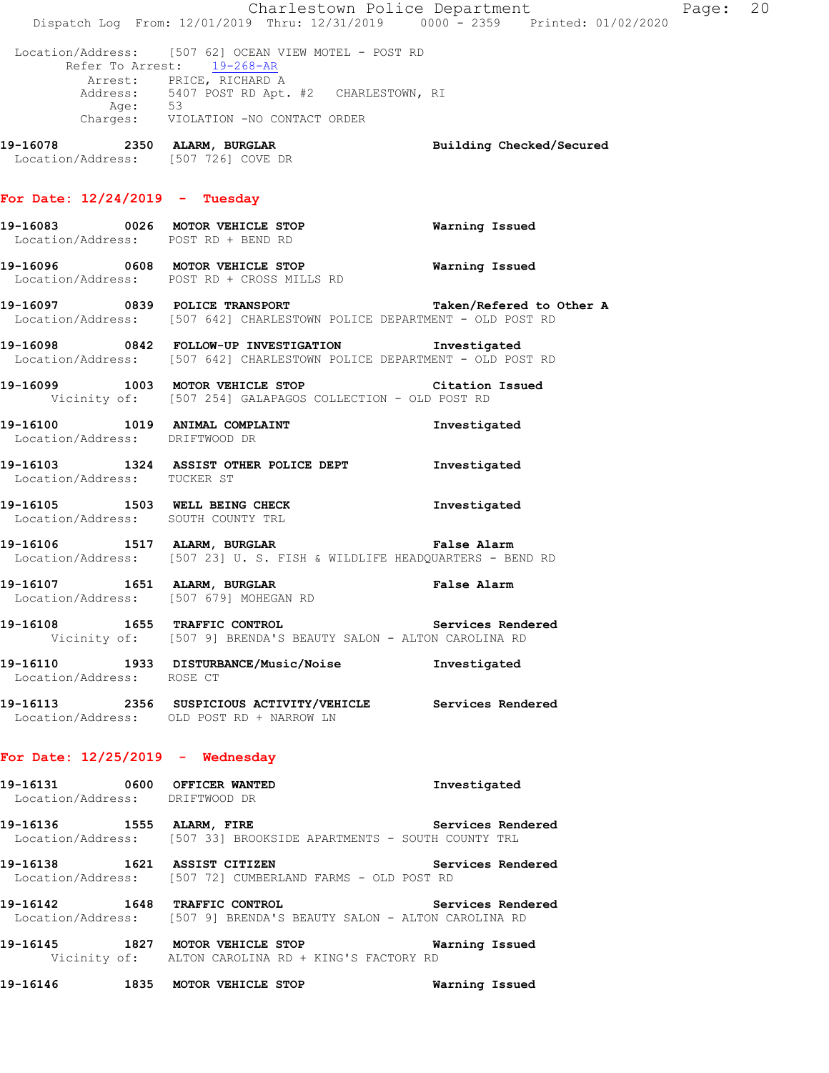|                                    | Dispatch Log From: 12/01/2019 Thru: 12/31/2019 0000 <sup>-</sup> 2359 Printed: 01/02/2020                                          | Charlestown Police Department | Page: 20 |  |
|------------------------------------|------------------------------------------------------------------------------------------------------------------------------------|-------------------------------|----------|--|
|                                    | Location/Address: [507 62] OCEAN VIEW MOTEL - POST RD<br>Refer To Arrest: 19-268-AR                                                |                               |          |  |
|                                    | Arrest: PRICE, RICHARD A<br>Address: 5407 POST RD Apt. #2 CHARLESTOWN, RI                                                          |                               |          |  |
|                                    | Age: 53<br>Charges: VIOLATION -NO CONTACT ORDER                                                                                    |                               |          |  |
|                                    | 19-16078 2350 ALARM, BURGLAR<br>Location/Address: [507 726] COVE DR                                                                | Building Checked/Secured      |          |  |
| For Date: $12/24/2019$ - Tuesday   |                                                                                                                                    |                               |          |  |
|                                    | 19-16083 0026 MOTOR VEHICLE STOP<br>Location/Address: POST RD + BEND RD                                                            | Warning Issued                |          |  |
|                                    | Location/Address: POST RD + CROSS MILLS RD                                                                                         |                               |          |  |
|                                    | 19-16097 0839 POLICE TRANSPORT Taken/Refered to Other A<br>Location/Address: [507 642] CHARLESTOWN POLICE DEPARTMENT - OLD POST RD |                               |          |  |
|                                    | 19-16098 0842 FOLLOW-UP INVESTIGATION Investigated<br>Location/Address: [507 642] CHARLESTOWN POLICE DEPARTMENT - OLD POST RD      |                               |          |  |
|                                    | 19-16099 1003 MOTOR VEHICLE STOP Citation Issued<br>Vicinity of: [507 254] GALAPAGOS COLLECTION - OLD POST RD                      |                               |          |  |
| Location/Address: DRIFTWOOD DR     | 19-16100 1019 ANIMAL COMPLAINT                                                                                                     | Investigated                  |          |  |
| Location/Address: TUCKER ST        | 19-16103 1324 ASSIST OTHER POLICE DEPT 1nvestigated                                                                                |                               |          |  |
| Location/Address: SOUTH COUNTY TRL | 19-16105 1503 WELL BEING CHECK                                                                                                     | Investigated                  |          |  |
|                                    | 19-16106 1517 ALARM, BURGLAR<br>Location/Address: [507 23] U.S. FISH & WILDLIFE HEADQUARTERS - BEND RD                             | <b>False Alarm</b>            |          |  |
|                                    | 19-16107 1651 ALARM, BURGLAR<br>Location/Address: [507 679] MOHEGAN RD                                                             | <b>False Alarm</b>            |          |  |
|                                    | 19-16108 1655 TRAFFIC CONTROL Services Rendered<br>Vicinity of: [507 9] BRENDA'S BEAUTY SALON - ALTON CAROLINA RD                  |                               |          |  |
| Location/Address: ROSE CT          | 19-16110 1933 DISTURBANCE/Music/Noise Investigated                                                                                 |                               |          |  |
|                                    | 19-16113 2356 SUSPICIOUS ACTIVITY/VEHICLE Services Rendered<br>Location/Address: OLD POST RD + NARROW LN                           |                               |          |  |
| For Date: $12/25/2019$ - Wednesday |                                                                                                                                    |                               |          |  |
| Location/Address: DRIFTWOOD DR     | 19-16131 0600 OFFICER WANTED                                                                                                       | Investigated                  |          |  |
|                                    | 19-16136 1555 ALARM, FIRE Services Rendered<br>Location/Address: [507 33] BROOKSIDE APARTMENTS - SOUTH COUNTY TRL                  |                               |          |  |
| 19-16138 1621 ASSIST CITIZEN       | Location/Address: [507 72] CUMBERLAND FARMS - OLD POST RD                                                                          | Services Rendered             |          |  |
|                                    | 19-16142 1648 TRAFFIC CONTROL 19-16-16-2 Services Rendered<br>Location/Address: [507 9] BRENDA'S BEAUTY SALON - ALTON CAROLINA RD  |                               |          |  |
|                                    | 19-16145 1827 MOTOR VEHICLE STOP 6 Warning Issued<br>Vicinity of: ALTON CAROLINA RD + KING'S FACTORY RD                            |                               |          |  |
|                                    | 19-16146 1835 MOTOR VEHICLE STOP 6 Warning Issued                                                                                  |                               |          |  |
|                                    |                                                                                                                                    |                               |          |  |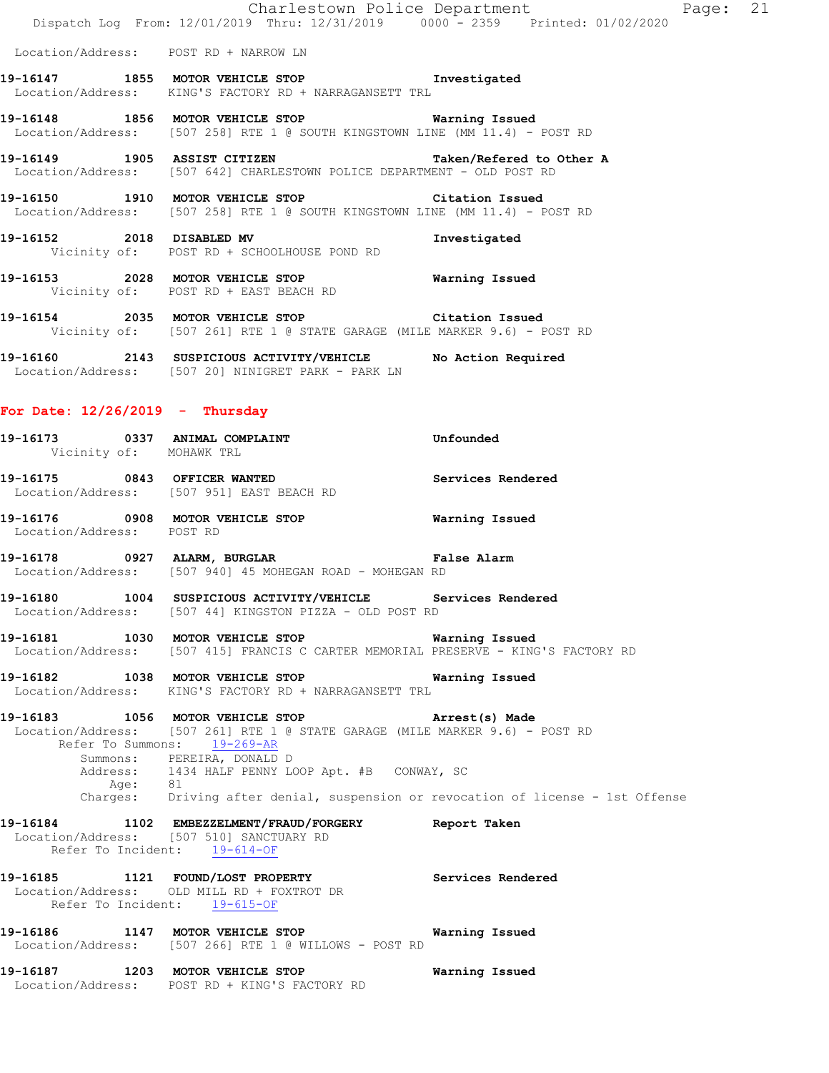|                                   | Charlestown Police Department                                                                                                     |  |
|-----------------------------------|-----------------------------------------------------------------------------------------------------------------------------------|--|
|                                   | Dispatch Log From: 12/01/2019 Thru: 12/31/2019 0000 - 2359 Printed: 01/02/2020                                                    |  |
|                                   | Location/Address: POST RD + NARROW LN                                                                                             |  |
|                                   | 19-16147 1855 MOTOR VEHICLE STOP 1nvestigated<br>Location/Address: KING'S FACTORY RD + NARRAGANSETT TRL                           |  |
|                                   | 19-16148 1856 MOTOR VEHICLE STOP 6 Warning Issued<br>Location/Address: [507 258] RTE 1 @ SOUTH KINGSTOWN LINE (MM 11.4) - POST RD |  |
|                                   | 19-16149 1905 ASSIST CITIZEN Taken/Refered to Other A<br>Location/Address: [507 642] CHARLESTOWN POLICE DEPARTMENT - OLD POST RD  |  |
|                                   | 19-16150 1910 MOTOR VEHICLE STOP Citation Issued<br>Location/Address: [507 258] RTE 1 @ SOUTH KINGSTOWN LINE (MM 11.4) - POST RD  |  |
|                                   | 19-16152 2018 DISABLED MV 10 Investigated<br>Vicinity of: POST RD + SCHOOLHOUSE POND RD                                           |  |
|                                   | 19-16153 2028 MOTOR VEHICLE STOP <b>Warning Issued</b><br>Vicinity of: POST RD + EAST BEACH RD                                    |  |
|                                   | 19-16154 2035 MOTOR VEHICLE STOP Citation Issued<br>Vicinity of: [507 261] RTE 1 @ STATE GARAGE (MILE MARKER 9.6) - POST RD       |  |
|                                   | 19-16160 2143 SUSPICIOUS ACTIVITY/VEHICLE No Action Required<br>Location/Address: [507 20] NINIGRET PARK - PARK LN                |  |
| For Date: $12/26/2019$ - Thursday |                                                                                                                                   |  |

- **19-16173 0337 ANIMAL COMPLAINT Unfounded**  Vicinity of: MOHAWK TRL
- **19-16175 0843 OFFICER WANTED Services Rendered**  Location/Address: [507 951] EAST BEACH RD
- **19-16176 0908 MOTOR VEHICLE STOP Warning Issued**  Location/Address: POST RD
- **19-16178 0927 ALARM, BURGLAR False Alarm**  Location/Address: [507 940] 45 MOHEGAN ROAD - MOHEGAN RD
- **19-16180 1004 SUSPICIOUS ACTIVITY/VEHICLE Services Rendered**  Location/Address: [507 44] KINGSTON PIZZA - OLD POST RD
- **19-16181 1030 MOTOR VEHICLE STOP Warning Issued**  Location/Address: [507 415] FRANCIS C CARTER MEMORIAL PRESERVE - KING'S FACTORY RD
- **19-16182 1038 MOTOR VEHICLE STOP Warning Issued**  Location/Address: KING'S FACTORY RD + NARRAGANSETT TRL
- **19-16183 1056 MOTOR VEHICLE STOP Arrest(s) Made**  Location/Address: [507 261] RTE 1 @ STATE GARAGE (MILE MARKER 9.6) - POST RD Refer To Summons: 19-269-AR Summons: PEREIRA, DONALD D Address: 1434 HALF PENNY LOOP Apt. #B CONWAY, SC<br>Age: 81 Age: Charges: Driving after denial, suspension or revocation of license - 1st Offense
- **19-16184 1102 EMBEZZELMENT/FRAUD/FORGERY Report Taken**  Location/Address: [507 510] SANCTUARY RD Refer To Incident: 19-614-OF
- **19-16185 1121 FOUND/LOST PROPERTY Services Rendered**  Location/Address: OLD MILL RD + FOXTROT DR Refer To Incident: 19-615-OF
- **19-16186 1147 MOTOR VEHICLE STOP Warning Issued**  Location/Address: [507 266] RTE 1 @ WILLOWS - POST RD
- **19-16187 1203 MOTOR VEHICLE STOP Warning Issued**  Location/Address: POST RD + KING'S FACTORY RD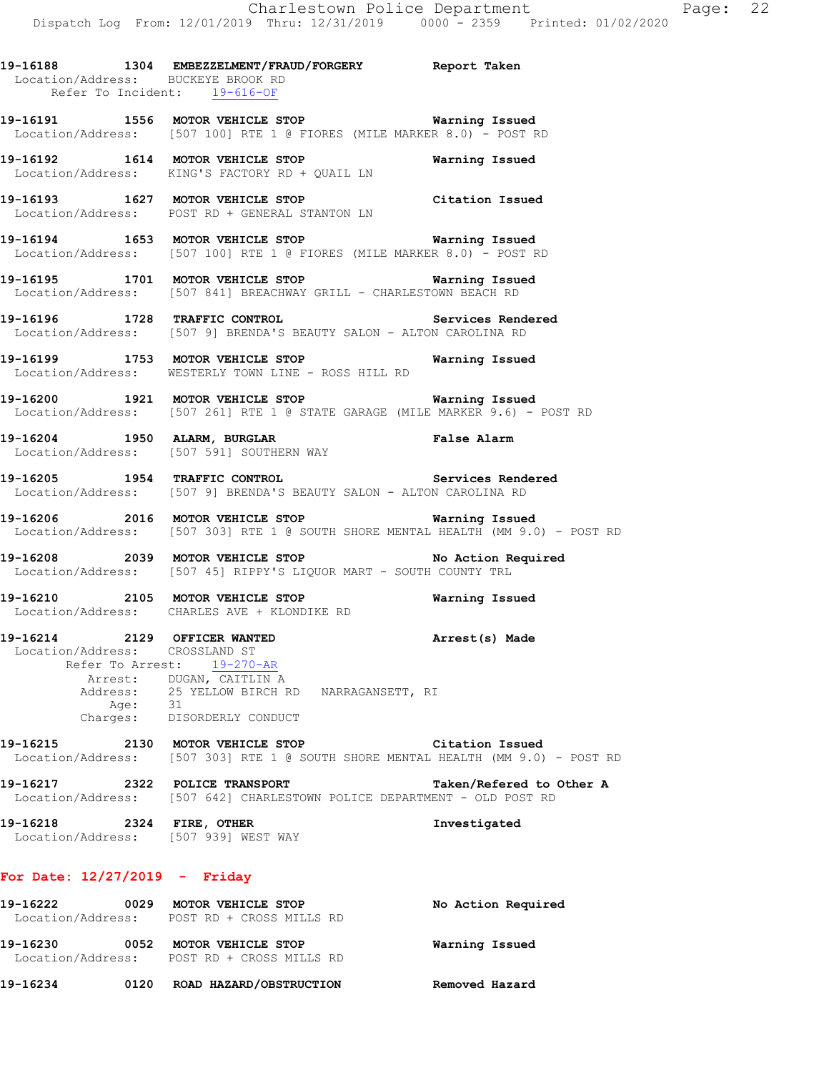**19-16188 1304 EMBEZZELMENT/FRAUD/FORGERY Report Taken**  Location/Address: BUCKEYE BROOK RD Refer To Incident: 19-616-OF

**19-16191 1556 MOTOR VEHICLE STOP Warning Issued**  Location/Address: [507 100] RTE 1 @ FIORES (MILE MARKER 8.0) - POST RD

**19-16192 1614 MOTOR VEHICLE STOP Warning Issued**  Location/Address: KING'S FACTORY RD + QUAIL LN

**19-16193 1627 MOTOR VEHICLE STOP Citation Issued**  Location/Address: POST RD + GENERAL STANTON LN

**19-16194 1653 MOTOR VEHICLE STOP Warning Issued**  Location/Address: [507 100] RTE 1 @ FIORES (MILE MARKER 8.0) - POST RD

**19-16195 1701 MOTOR VEHICLE STOP Warning Issued**  Location/Address: [507 841] BREACHWAY GRILL - CHARLESTOWN BEACH RD

**19-16196 1728 TRAFFIC CONTROL Services Rendered**  Location/Address: [507 9] BRENDA'S BEAUTY SALON - ALTON CAROLINA RD

**19-16199 1753 MOTOR VEHICLE STOP Warning Issued**  Location/Address: WESTERLY TOWN LINE - ROSS HILL RD

**19-16200 1921 MOTOR VEHICLE STOP Warning Issued**  Location/Address: [507 261] RTE 1 @ STATE GARAGE (MILE MARKER 9.6) - POST RD

**19-16204 1950 ALARM, BURGLAR False Alarm**  Location/Address: [507 591] SOUTHERN WAY

**19-16205 1954 TRAFFIC CONTROL Services Rendered**  Location/Address: [507 9] BRENDA'S BEAUTY SALON - ALTON CAROLINA RD

**19-16206 2016 MOTOR VEHICLE STOP Warning Issued**  Location/Address: [507 303] RTE 1 @ SOUTH SHORE MENTAL HEALTH (MM 9.0) - POST RD

**19-16208 2039 MOTOR VEHICLE STOP No Action Required**  Location/Address: [507 45] RIPPY'S LIQUOR MART - SOUTH COUNTY TRL

**19-16210 2105 MOTOR VEHICLE STOP Warning Issued**  Location/Address: CHARLES AVE + KLONDIKE RD

**19-16214 2129 OFFICER WANTED Arrest(s) Made**  Location/Address: CROSSLAND ST Refer To Arrest: 19-270-AR Arrest: DUGAN, CAITLIN A Address: 25 YELLOW BIRCH RD NARRAGANSETT, RI Age: 31 Charges: DISORDERLY CONDUCT

**19-16215 2130 MOTOR VEHICLE STOP Citation Issued**  Location/Address: [507 303] RTE 1 @ SOUTH SHORE MENTAL HEALTH (MM 9.0) - POST RD

**19-16217 2322 POLICE TRANSPORT Taken/Refered to Other A**  Location/Address: [507 642] CHARLESTOWN POLICE DEPARTMENT - OLD POST RD

**19-16218 2324 FIRE, OTHER Investigated**  Location/Address: [507 939] WEST WAY

### **For Date: 12/27/2019 - Friday**

| 19-16222 | 0029 | MOTOR VEHICLE STOP<br>Location/Address: POST RD + CROSS MILLS RD | No Action Required |
|----------|------|------------------------------------------------------------------|--------------------|
| 19-16230 | 0052 | MOTOR VEHICLE STOP<br>Location/Address: POST RD + CROSS MILLS RD | Warning Issued     |
| 19-16234 | 0120 | ROAD HAZARD/OBSTRUCTION                                          | Removed Hazard     |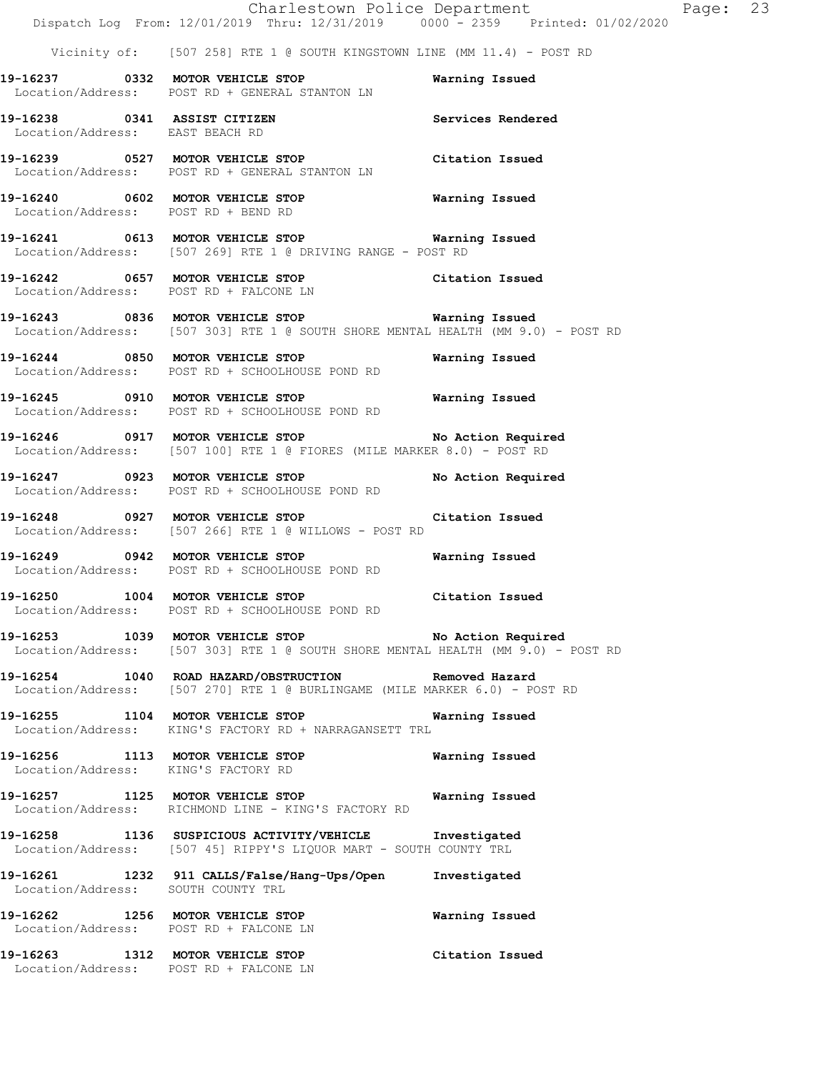|                                                                 |                                                                                                                                         | Charlestown Police Department | Page: 23 |  |
|-----------------------------------------------------------------|-----------------------------------------------------------------------------------------------------------------------------------------|-------------------------------|----------|--|
|                                                                 | Dispatch Log From: 12/01/2019 Thru: 12/31/2019 0000 - 2359 Printed: 01/02/2020                                                          |                               |          |  |
|                                                                 | Vicinity of: [507 258] RTE 1 @ SOUTH KINGSTOWN LINE (MM 11.4) - POST RD                                                                 |                               |          |  |
|                                                                 | 19-16237 0332 MOTOR VEHICLE STOP<br>Location/Address: POST RD + GENERAL STANTON LN                                                      | Warning Issued                |          |  |
| 19-16238 0341 ASSIST CITIZEN<br>Location/Address: EAST BEACH RD |                                                                                                                                         | Services Rendered             |          |  |
|                                                                 | 19-16239 0527 MOTOR VEHICLE STOP<br>Location/Address: POST RD + GENERAL STANTON LN                                                      | Citation Issued               |          |  |
| Location/Address: POST RD + BEND RD                             | 19-16240 0602 MOTOR VEHICLE STOP Warning Issued                                                                                         |                               |          |  |
|                                                                 | 19-16241 0613 MOTOR VEHICLE STOP <b>Warning Issued</b><br>Location/Address: [507 269] RTE 1 @ DRIVING RANGE - POST RD                   |                               |          |  |
| Location/Address: POST RD + FALCONE LN                          | 19-16242 0657 MOTOR VEHICLE STOP Citation Issued                                                                                        |                               |          |  |
|                                                                 | 19-16243 0836 MOTOR VEHICLE STOP 6 Warning Issued<br>Location/Address: [507 303] RTE 1 @ SOUTH SHORE MENTAL HEALTH (MM 9.0) - POST RD   |                               |          |  |
|                                                                 | 19-16244 0850 MOTOR VEHICLE STOP<br>Location/Address: POST RD + SCHOOLHOUSE POND RD                                                     | Warning Issued                |          |  |
|                                                                 | 19-16245  0910 MOTOR VEHICLE STOP    Varning Issued<br>Location/Address: POST RD + SCHOOLHOUSE POND RD                                  |                               |          |  |
|                                                                 | 19-16246 0917 MOTOR VEHICLE STOP No Action Required<br>Location/Address: [507 100] RTE 1 @ FIORES (MILE MARKER 8.0) - POST RD           |                               |          |  |
|                                                                 | 19-16247 0923 MOTOR VEHICLE STOP<br>Location/Address: POST RD + SCHOOLHOUSE POND RD                                                     | No Action Required            |          |  |
|                                                                 | 19-16248 0927 MOTOR VEHICLE STOP Citation Issued<br>Location/Address: [507 266] RTE 1 @ WILLOWS - POST RD                               |                               |          |  |
|                                                                 | 19-16249 0942 MOTOR VEHICLE STOP<br>Location/Address: POST RD + SCHOOLHOUSE POND RD                                                     | Warning Issued                |          |  |
| 19-16250 1004 MOTOR VEHICLE STOP                                | Location/Address: POST RD + SCHOOLHOUSE POND RD                                                                                         | Citation Issued               |          |  |
|                                                                 | 19-16253 1039 MOTOR VEHICLE STOP No Action Required<br>Location/Address: [507 303] RTE 1 @ SOUTH SHORE MENTAL HEALTH (MM 9.0) - POST RD |                               |          |  |
|                                                                 | 19-16254 1040 ROAD HAZARD/OBSTRUCTION Removed Hazard<br>Location/Address: [507 270] RTE 1 @ BURLINGAME (MILE MARKER 6.0) - POST RD      |                               |          |  |
|                                                                 | 19-16255 1104 MOTOR VEHICLE STOP<br>Location/Address: KING'S FACTORY RD + NARRAGANSETT TRL                                              | Warning Issued                |          |  |
| Location/Address: KING'S FACTORY RD                             | 19-16256 1113 MOTOR VEHICLE STOP                                                                                                        | Warning Issued                |          |  |
|                                                                 | 19-16257 1125 MOTOR VEHICLE STOP 6 Warning Issued<br>Location/Address: RICHMOND LINE - KING'S FACTORY RD                                |                               |          |  |
|                                                                 | 19-16258 1136 SUSPICIOUS ACTIVITY/VEHICLE Investigated<br>Location/Address: [507 45] RIPPY'S LIQUOR MART - SOUTH COUNTY TRL             |                               |          |  |
|                                                                 | 19-16261 1232 911 CALLS/False/Hang-Ups/Open Investigated<br>Location/Address: SOUTH COUNTY TRL                                          |                               |          |  |
|                                                                 | 19-16262 1256 MOTOR VEHICLE STOP<br>Location/Address: POST RD + FALCONE LN                                                              | Warning Issued                |          |  |
|                                                                 | 19-16263 1312 MOTOR VEHICLE STOP<br>Location/Address: POST RD + FALCONE LN                                                              | Citation Issued               |          |  |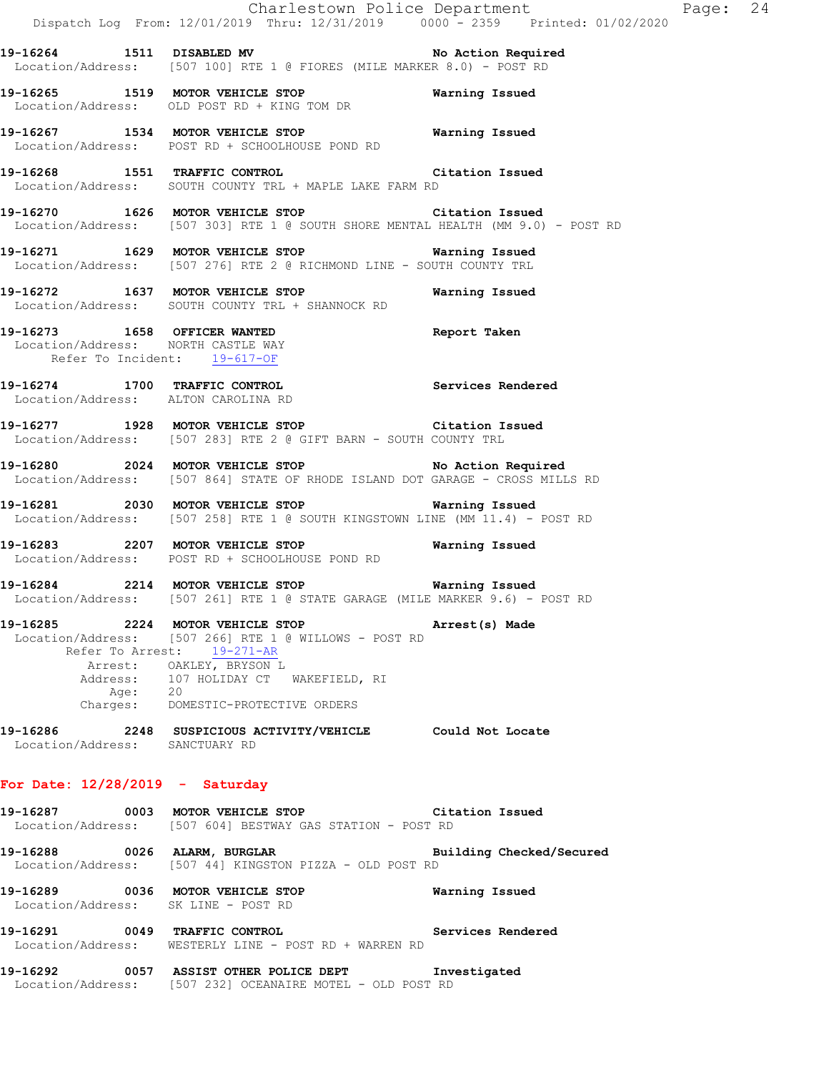**19-16264 1511 DISABLED MV No Action Required**  Location/Address: [507 100] RTE 1 @ FIORES (MILE MARKER 8.0) - POST RD

**19-16265 1519 MOTOR VEHICLE STOP Warning Issued**  Location/Address: OLD POST RD + KING TOM DR

**19-16267 1534 MOTOR VEHICLE STOP Warning Issued**  Location/Address: POST RD + SCHOOLHOUSE POND RD

**19-16268 1551 TRAFFIC CONTROL Citation Issued**  Location/Address: SOUTH COUNTY TRL + MAPLE LAKE FARM RD

**19-16270 1626 MOTOR VEHICLE STOP Citation Issued**  Location/Address: [507 303] RTE 1 @ SOUTH SHORE MENTAL HEALTH (MM 9.0) - POST RD

**19-16271 1629 MOTOR VEHICLE STOP Warning Issued**  Location/Address: [507 276] RTE 2 @ RICHMOND LINE - SOUTH COUNTY TRL

**19-16272 1637 MOTOR VEHICLE STOP Warning Issued**  Location/Address: SOUTH COUNTY TRL + SHANNOCK RD

**19-16273 1658 OFFICER WANTED Report Taken**  Location/Address: NORTH CASTLE WAY Refer To Incident: 19-617-OF

**19-16274 1700 TRAFFIC CONTROL Services Rendered**  Location/Address: ALTON CAROLINA RD

**19-16277 1928 MOTOR VEHICLE STOP Citation Issued**  Location/Address: [507 283] RTE 2 @ GIFT BARN - SOUTH COUNTY TRL

**19-16280 2024 MOTOR VEHICLE STOP No Action Required**  Location/Address: [507 864] STATE OF RHODE ISLAND DOT GARAGE - CROSS MILLS RD

**19-16281 2030 MOTOR VEHICLE STOP Warning Issued**  Location/Address: [507 258] RTE 1 @ SOUTH KINGSTOWN LINE (MM 11.4) - POST RD

**19-16283 2207 MOTOR VEHICLE STOP Warning Issued**  Location/Address: POST RD + SCHOOLHOUSE POND RD

**19-16284 2214 MOTOR VEHICLE STOP Warning Issued**  Location/Address: [507 261] RTE 1 @ STATE GARAGE (MILE MARKER 9.6) - POST RD

**19-16285 2224 MOTOR VEHICLE STOP Arrest(s) Made**  Location/Address: [507 266] RTE 1 @ WILLOWS - POST RD Refer To Arrest: 19-271-AR Arrest: OAKLEY, BRYSON L Address: 107 HOLIDAY CT WAKEFIELD, RI Age: 20 Charges: DOMESTIC-PROTECTIVE ORDERS

**19-16286 2248 SUSPICIOUS ACTIVITY/VEHICLE Could Not Locate**  Location/Address: SANCTUARY RD

#### **For Date: 12/28/2019 - Saturday**

**19-16287 0003 MOTOR VEHICLE STOP Citation Issued**  Location/Address: [507 604] BESTWAY GAS STATION - POST RD

**19-16288 0026 ALARM, BURGLAR Building Checked/Secured**  Location/Address: [507 44] KINGSTON PIZZA - OLD POST RD

**19-16289 0036 MOTOR VEHICLE STOP Warning Issued**  Location/Address: SK LINE - POST RD

**19-16291 0049 TRAFFIC CONTROL Services Rendered**  Location/Address: WESTERLY LINE - POST RD + WARREN RD

**19-16292 0057 ASSIST OTHER POLICE DEPT Investigated**  Location/Address: [507 232] OCEANAIRE MOTEL - OLD POST RD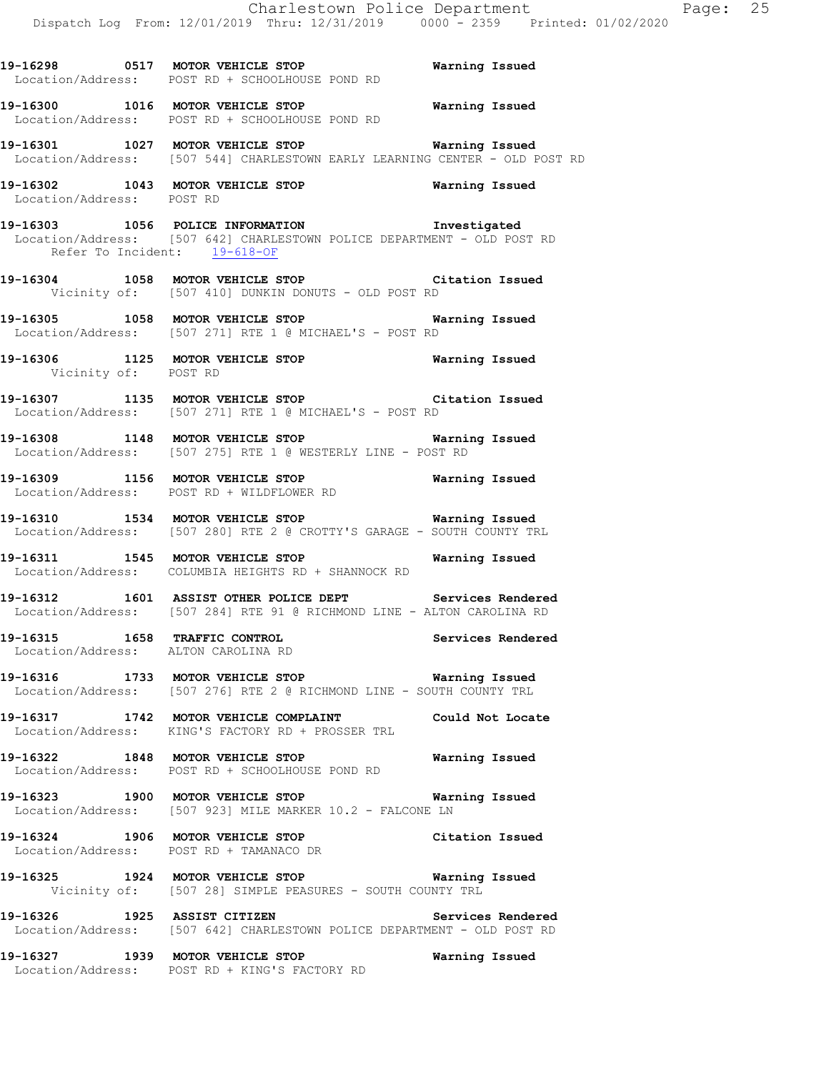Location/Address: POST RD **19-16303 1056 POLICE INFORMATION Investigated**  Location/Address: [507 642] CHARLESTOWN POLICE DEPARTMENT - OLD POST RD Refer To Incident: 19-618-OF **19-16304 1058 MOTOR VEHICLE STOP Citation Issued**  Vicinity of: [507 410] DUNKIN DONUTS - OLD POST RD **19-16305 1058 MOTOR VEHICLE STOP Warning Issued**  Location/Address: [507 271] RTE 1 @ MICHAEL'S - POST RD **19-16306 1125 MOTOR VEHICLE STOP Warning Issued**  Vicinity of: POST RD **19-16307 1135 MOTOR VEHICLE STOP Citation Issued**  Location/Address: [507 271] RTE 1 @ MICHAEL'S - POST RD **19-16308 1148 MOTOR VEHICLE STOP Warning Issued**  Location/Address: [507 275] RTE 1 @ WESTERLY LINE - POST RD **19-16309 1156 MOTOR VEHICLE STOP Warning Issued**  Location/Address: POST RD + WILDFLOWER RD **19-16310 1534 MOTOR VEHICLE STOP Warning Issued**  Location/Address: [507 280] RTE 2 @ CROTTY'S GARAGE - SOUTH COUNTY TRL **19-16311 1545 MOTOR VEHICLE STOP Warning Issued**  Location/Address: COLUMBIA HEIGHTS RD + SHANNOCK RD **19-16312 1601 ASSIST OTHER POLICE DEPT Services Rendered**  Location/Address: [507 284] RTE 91 @ RICHMOND LINE - ALTON CAROLINA RD **19-16315 1658 TRAFFIC CONTROL Services Rendered**  Location/Address: ALTON CAROLINA RD

**19-16298 0517 MOTOR VEHICLE STOP Warning Issued** 

**19-16300 1016 MOTOR VEHICLE STOP Warning Issued** 

**19-16301 1027 MOTOR VEHICLE STOP Warning Issued** 

**19-16302 1043 MOTOR VEHICLE STOP Warning Issued** 

Location/Address: [507 544] CHARLESTOWN EARLY LEARNING CENTER - OLD POST RD

Location/Address: POST RD + SCHOOLHOUSE POND RD

Location/Address: POST RD + SCHOOLHOUSE POND RD

**19-16316 1733 MOTOR VEHICLE STOP Warning Issued**  Location/Address: [507 276] RTE 2 @ RICHMOND LINE - SOUTH COUNTY TRL

**19-16317 1742 MOTOR VEHICLE COMPLAINT Could Not Locate**  Location/Address: KING'S FACTORY RD + PROSSER TRL

**19-16322 1848 MOTOR VEHICLE STOP Warning Issued**  Location/Address: POST RD + SCHOOLHOUSE POND RD

**19-16323 1900 MOTOR VEHICLE STOP Warning Issued**  Location/Address: [507 923] MILE MARKER 10.2 - FALCONE LN

**19-16324 1906 MOTOR VEHICLE STOP Citation Issued**  Location/Address: POST RD + TAMANACO DR

**19-16325 1924 MOTOR VEHICLE STOP Warning Issued**  Vicinity of: [507 28] SIMPLE PEASURES - SOUTH COUNTY TRL

**19-16326 1925 ASSIST CITIZEN Services Rendered**  Location/Address: [507 642] CHARLESTOWN POLICE DEPARTMENT - OLD POST RD

**19-16327 1939 MOTOR VEHICLE STOP Warning Issued**  Location/Address: POST RD + KING'S FACTORY RD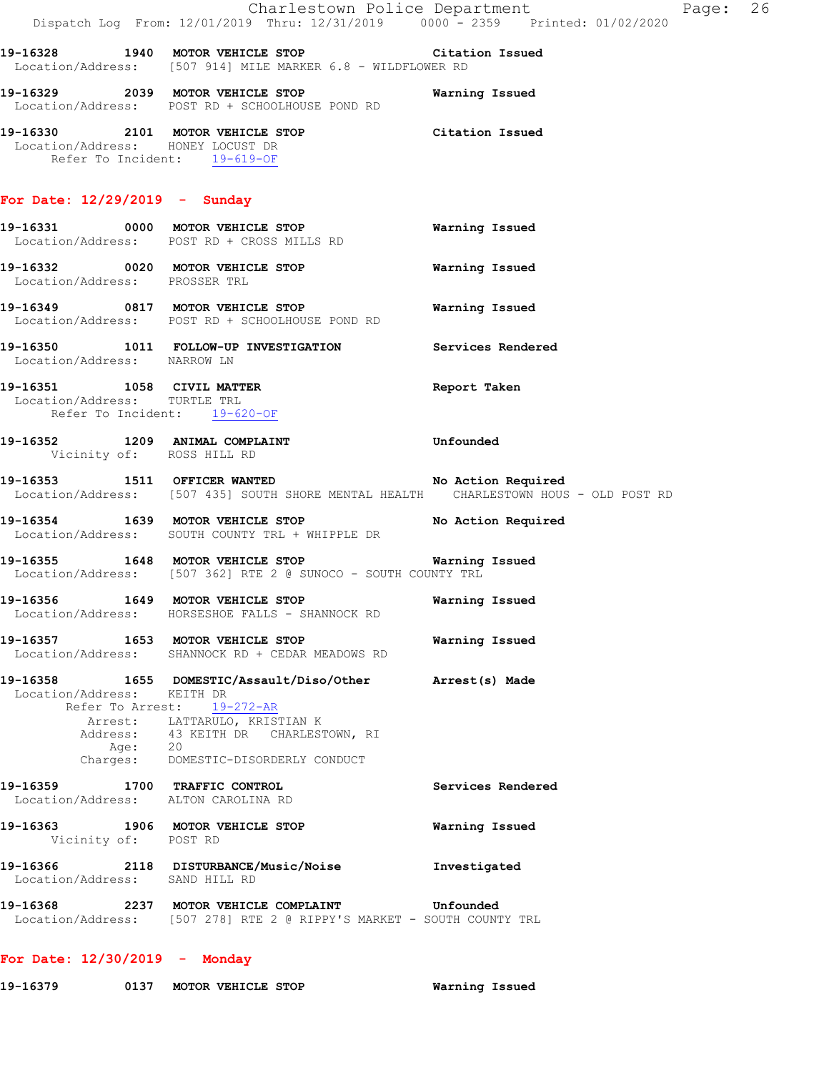|                                                                                            | Dispatch Log From: 12/01/2019 Thru: 12/31/2019 0000 - 2359 Printed: 01/02/2020                                                                                  | Charlestown Police Department | Page: 26 |  |
|--------------------------------------------------------------------------------------------|-----------------------------------------------------------------------------------------------------------------------------------------------------------------|-------------------------------|----------|--|
|                                                                                            | 19-16328 1940 MOTOR VEHICLE STOP Citation Issued<br>Location/Address: [507 914] MILE MARKER 6.8 - WILDFLOWER RD                                                 |                               |          |  |
|                                                                                            | 19-16329 2039 MOTOR VEHICLE STOP<br>Location/Address: POST RD + SCHOOLHOUSE POND RD                                                                             | Warning Issued                |          |  |
| Location/Address: HONEY LOCUST DR<br>Refer To Incident: 19-619-OF                          | 19-16330 2101 MOTOR VEHICLE STOP Citation Issued                                                                                                                |                               |          |  |
| For Date: $12/29/2019$ - Sunday                                                            |                                                                                                                                                                 |                               |          |  |
|                                                                                            | 19-16331 0000 MOTOR VEHICLE STOP<br>Location/Address: POST RD + CROSS MILLS RD                                                                                  | Warning Issued                |          |  |
| Location/Address: PROSSER TRL                                                              | 19-16332 0020 MOTOR VEHICLE STOP                                                                                                                                | Warning Issued                |          |  |
|                                                                                            | 19-16349 0817 MOTOR VEHICLE STOP<br>Location/Address: POST RD + SCHOOLHOUSE POND RD                                                                             | Warning Issued                |          |  |
| Location/Address: NARROW LN                                                                | 19-16350 1011 FOLLOW-UP INVESTIGATION Services Rendered                                                                                                         |                               |          |  |
| 19-16351 1058 CIVIL MATTER<br>Location/Address: TURTLE TRL<br>Refer To Incident: 19-620-OF |                                                                                                                                                                 | Report Taken                  |          |  |
| 19-16352 1209 ANIMAL COMPLAINT<br>Vicinity of: ROSS HILL RD                                |                                                                                                                                                                 | <b>Example 1</b> Unfounded    |          |  |
|                                                                                            | 19-16353 1511 OFFICER WANTED 19-16353<br>Location/Address: [507 435] SOUTH SHORE MENTAL HEALTH CHARLESTOWN HOUS - OLD POST RD                                   |                               |          |  |
|                                                                                            | 19-16354 1639 MOTOR VEHICLE STOP No Action Required<br>Location/Address: SOUTH COUNTY TRL + WHIPPLE DR                                                          |                               |          |  |
|                                                                                            | 19-16355 1648 MOTOR VEHICLE STOP 6 Warning Issued<br>Location/Address: [507 362] RTE 2 @ SUNOCO - SOUTH COUNTY TRL                                              |                               |          |  |
|                                                                                            | 19-16356 1649 MOTOR VEHICLE STOP<br>Location/Address: HORSESHOE FALLS - SHANNOCK RD                                                                             | Warning Issued                |          |  |
|                                                                                            | 19-16357 1653 MOTOR VEHICLE STOP<br>Location/Address: SHANNOCK RD + CEDAR MEADOWS RD                                                                            | Warning Issued                |          |  |
| Location/Address: KEITH DR                                                                 | 19-16358 1655 DOMESTIC/Assault/Diso/Other Arrest(s) Made<br>Refer To Arrest: 19-272-AR<br>Arrest: LATTARULO, KRISTIAN K<br>Address: 43 KEITH DR CHARLESTOWN, RI |                               |          |  |
| Age: 20                                                                                    | Charges: DOMESTIC-DISORDERLY CONDUCT                                                                                                                            |                               |          |  |
| 19-16359 1700 TRAFFIC CONTROL<br>Location/Address: ALTON CAROLINA RD                       |                                                                                                                                                                 | Services Rendered             |          |  |
| Vicinity of: POST RD                                                                       | 19-16363 1906 MOTOR VEHICLE STOP                                                                                                                                | Warning Issued                |          |  |
| Location/Address: SAND HILL RD                                                             | 19-16366 2118 DISTURBANCE/Music/Noise                                                                                                                           | Investigated                  |          |  |
|                                                                                            | Location/Address: [507 278] RTE 2 @ RIPPY'S MARKET - SOUTH COUNTY TRL                                                                                           |                               |          |  |
|                                                                                            |                                                                                                                                                                 |                               |          |  |

**For Date: 12/30/2019 - Monday**

**19-16379 0137 MOTOR VEHICLE STOP Warning Issued**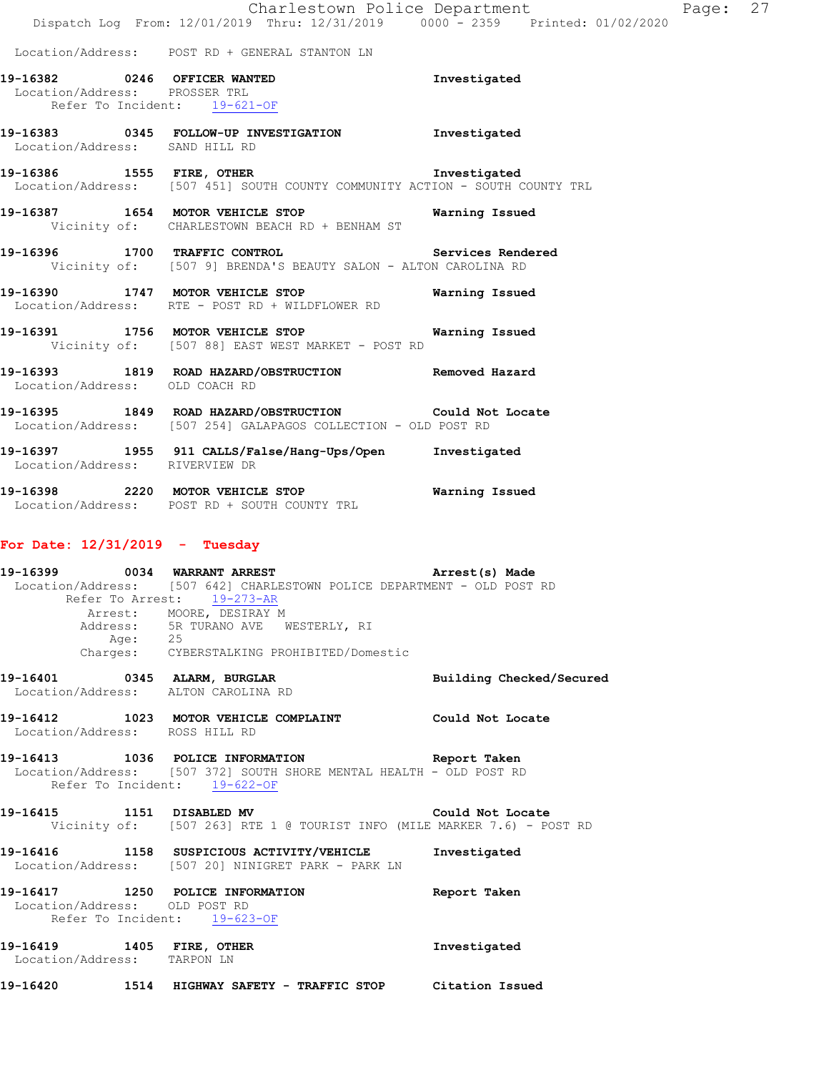|                                                               | Charlestown Police Department                                                          | Dispatch Log From: 12/01/2019 Thru: 12/31/2019 0000 - 2359 Printed: 01/02/2020 | Page: 27 |  |
|---------------------------------------------------------------|----------------------------------------------------------------------------------------|--------------------------------------------------------------------------------|----------|--|
|                                                               | Location/Address: POST RD + GENERAL STANTON LN                                         |                                                                                |          |  |
| 19-16382 0246 OFFICER WANTED<br>Location/Address: PROSSER TRL | Refer To Incident: 19-621-OF                                                           | Investigated                                                                   |          |  |
| Location/Address: SAND HILL RD                                |                                                                                        | Investigated                                                                   |          |  |
|                                                               | Location/Address: [507 451] SOUTH COUNTY COMMUNITY ACTION - SOUTH COUNTY TRL           | Investigated                                                                   |          |  |
|                                                               | 19-16387 1654 MOTOR VEHICLE STOP<br>Vicinity of: CHARLESTOWN BEACH RD + BENHAM ST      | Warning Issued                                                                 |          |  |
| 19-16396                                                      | 1700 TRAFFIC CONTROL<br>Vicinity of: [507 9] BRENDA'S BEAUTY SALON - ALTON CAROLINA RD | Services Rendered                                                              |          |  |

- **19-16390 1747 MOTOR VEHICLE STOP Warning Issued**  Location/Address: RTE - POST RD + WILDFLOWER RD
- **19-16391 1756 MOTOR VEHICLE STOP Warning Issued**  Vicinity of: [507 88] EAST WEST MARKET - POST RD
- **19-16393 1819 ROAD HAZARD/OBSTRUCTION Removed Hazard**  Location/Address: OLD COACH RD
- **19-16395 1849 ROAD HAZARD/OBSTRUCTION Could Not Locate**  Location/Address: [507 254] GALAPAGOS COLLECTION - OLD POST RD
- **19-16397 1955 911 CALLS/False/Hang-Ups/Open Investigated**  Location/Address: RIVERVIEW DR
- **19-16398 2220 MOTOR VEHICLE STOP Warning Issued**  Location/Address: POST RD + SOUTH COUNTY TRL

# **For Date: 12/31/2019 - Tuesday**

|                                |         | 19-16399 0034 WARRANT ARREST Arrest(s) Made<br>Location/Address: [507 642] CHARLESTOWN POLICE DEPARTMENT - OLD POST RD<br>Refer To Arrest: 19-273-AR<br>Arrest: MOORE, DESIRAY M |                          |
|--------------------------------|---------|----------------------------------------------------------------------------------------------------------------------------------------------------------------------------------|--------------------------|
|                                | Age: 25 | Address: 5R TURANO AVE WESTERLY, RI<br>Charges: CYBERSTALKING PROHIBITED/Domestic                                                                                                |                          |
|                                |         | 19-16401 0345 ALARM, BURGLAR<br>Location/Address: ALTON CAROLINA RD                                                                                                              | Building Checked/Secured |
| Location/Address: ROSS HILL RD |         | 19-16412 1023 MOTOR VEHICLE COMPLAINT Could Not Locate                                                                                                                           |                          |
|                                |         | 19-16413 1036 POLICE INFORMATION Report Taken<br>Location/Address: [507 372] SOUTH SHORE MENTAL HEALTH - OLD POST RD<br>Refer To Incident: 19-622-OF                             |                          |
|                                |         | 19-16415 1151 DISABLED MV Could Not Locate<br>Vicinity of: [507 263] RTE 1 @ TOURIST INFO (MILE MARKER 7.6) - POST RD                                                            |                          |
|                                |         | 19-16416 1158 SUSPICIOUS ACTIVITY/VEHICLE Investigated<br>Location/Address: [507 20] NINIGRET PARK - PARK LN                                                                     |                          |
| Location/Address: OLD POST RD  |         | 19-16417 1250 POLICE INFORMATION Report Taken<br>Refer To Incident: 19-623-OF                                                                                                    |                          |
| Location/Address: TARPON LN    |         | 19-16419 1405 FIRE, OTHER                                                                                                                                                        | Investigated             |
|                                |         | 19-16420 1514 HIGHWAY SAFETY - TRAFFIC STOP Citation Issued                                                                                                                      |                          |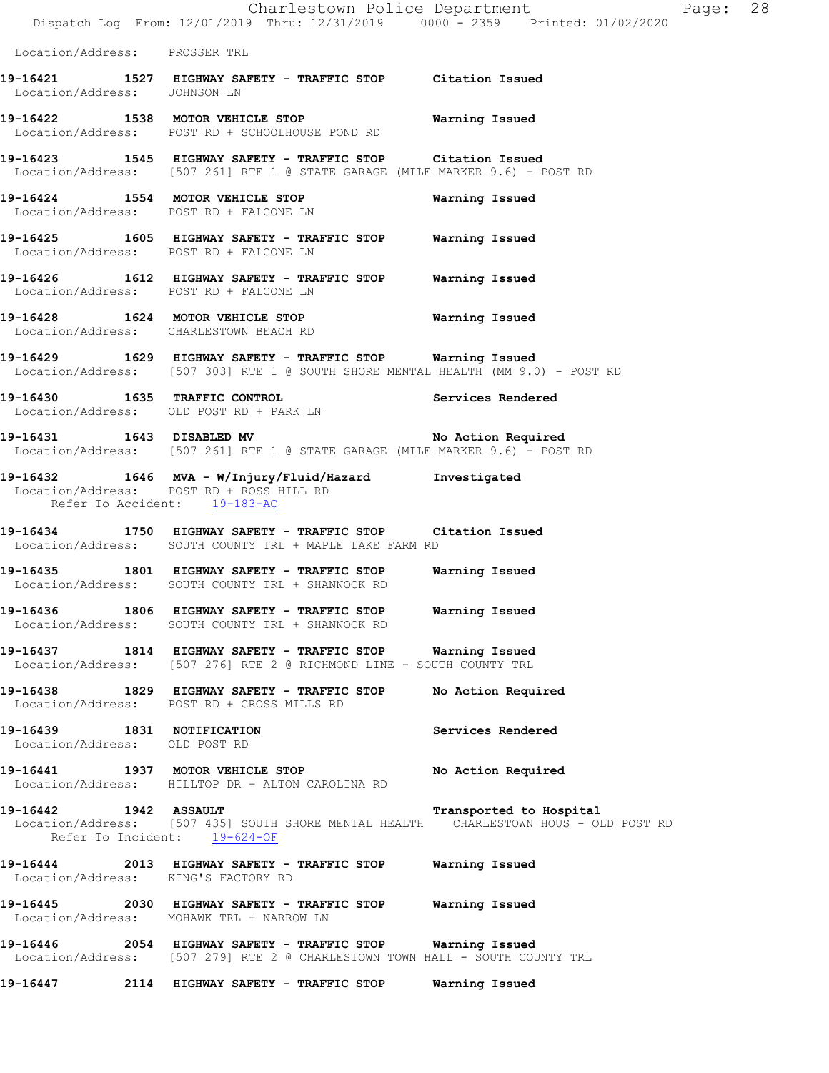Charlestown Police Department The Page: 28 Dispatch Log From: 12/01/2019 Thru: 12/31/2019 0000 - 2359 Printed: 01/02/2020 Location/Address: PROSSER TRL **19-16421 1527 HIGHWAY SAFETY - TRAFFIC STOP Citation Issued**  Location/Address: JOHNSON LN **19-16422 1538 MOTOR VEHICLE STOP Warning Issued**  Location/Address: POST RD + SCHOOLHOUSE POND RD **19-16423 1545 HIGHWAY SAFETY - TRAFFIC STOP Citation Issued**  Location/Address: [507 261] RTE 1 @ STATE GARAGE (MILE MARKER 9.6) - POST RD **19-16424 1554 MOTOR VEHICLE STOP Warning Issued**  Location/Address: POST RD + FALCONE LN **19-16425 1605 HIGHWAY SAFETY - TRAFFIC STOP Warning Issued**  Location/Address: POST RD + FALCONE LN **19-16426 1612 HIGHWAY SAFETY - TRAFFIC STOP Warning Issued**  Location/Address: POST RD + FALCONE LN **19-16428 1624 MOTOR VEHICLE STOP Warning Issued**  Location/Address: CHARLESTOWN BEACH RD **19-16429 1629 HIGHWAY SAFETY - TRAFFIC STOP Warning Issued**  Location/Address: [507 303] RTE 1 @ SOUTH SHORE MENTAL HEALTH (MM 9.0) - POST RD **19-16430 1635 TRAFFIC CONTROL Services Rendered**  Location/Address: OLD POST RD + PARK LN 19-16431 1643 DISABLED MV **No Action Required**  Location/Address: [507 261] RTE 1 @ STATE GARAGE (MILE MARKER 9.6) - POST RD **19-16432 1646 MVA - W/Injury/Fluid/Hazard Investigated**  Location/Address: POST RD + ROSS HILL RD Refer To Accident: 19-183-AC **19-16434 1750 HIGHWAY SAFETY - TRAFFIC STOP Citation Issued**  Location/Address: SOUTH COUNTY TRL + MAPLE LAKE FARM RD **19-16435 1801 HIGHWAY SAFETY - TRAFFIC STOP Warning Issued**  Location/Address: SOUTH COUNTY TRL + SHANNOCK RD **19-16436 1806 HIGHWAY SAFETY - TRAFFIC STOP Warning Issued**  Location/Address: SOUTH COUNTY TRL + SHANNOCK RD **19-16437 1814 HIGHWAY SAFETY - TRAFFIC STOP Warning Issued**  Location/Address: [507 276] RTE 2 @ RICHMOND LINE - SOUTH COUNTY TRL **19-16438 1829 HIGHWAY SAFETY - TRAFFIC STOP No Action Required**  Location/Address: POST RD + CROSS MILLS RD **19-16439 1831 NOTIFICATION Services Rendered**  Location/Address: OLD POST RD **19-16441 1937 MOTOR VEHICLE STOP No Action Required**  Location/Address: HILLTOP DR + ALTON CAROLINA RD **19-16442 1942 ASSAULT Transported to Hospital**  Location/Address: [507 435] SOUTH SHORE MENTAL HEALTH CHARLESTOWN HOUS - OLD POST RD Refer To Incident: 19-624-OF **19-16444 2013 HIGHWAY SAFETY - TRAFFIC STOP Warning Issued**  Location/Address: KING'S FACTORY RD **19-16445 2030 HIGHWAY SAFETY - TRAFFIC STOP Warning Issued**  Location/Address: MOHAWK TRL + NARROW LN **19-16446 2054 HIGHWAY SAFETY - TRAFFIC STOP Warning Issued**  Location/Address: [507 279] RTE 2 @ CHARLESTOWN TOWN HALL - SOUTH COUNTY TRL **19-16447 2114 HIGHWAY SAFETY - TRAFFIC STOP Warning Issued**